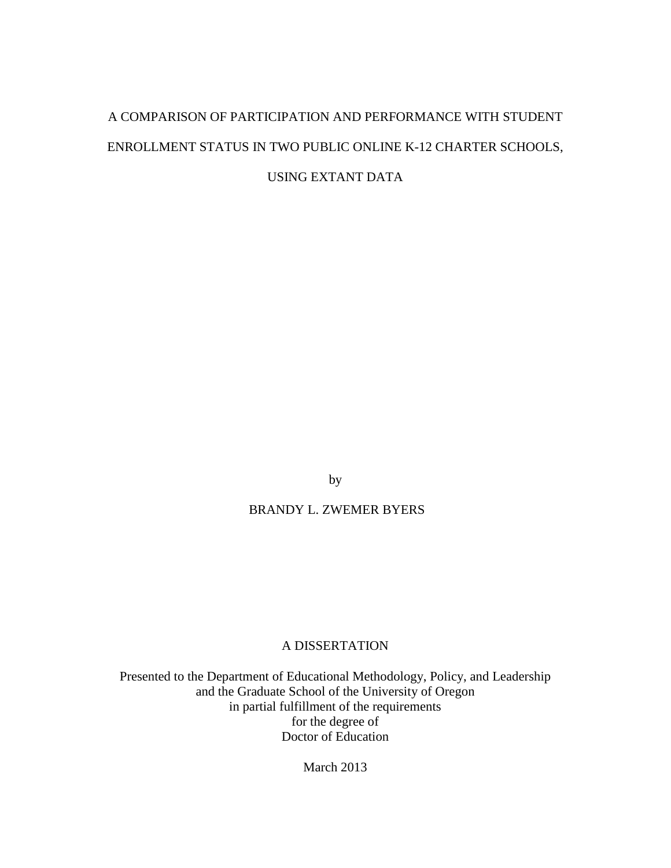# A COMPARISON OF PARTICIPATION AND PERFORMANCE WITH STUDENT ENROLLMENT STATUS IN TWO PUBLIC ONLINE K-12 CHARTER SCHOOLS, USING EXTANT DATA

by

# BRANDY L. ZWEMER BYERS

# A DISSERTATION

Presented to the Department of Educational Methodology, Policy, and Leadership and the Graduate School of the University of Oregon in partial fulfillment of the requirements for the degree of Doctor of Education

March 2013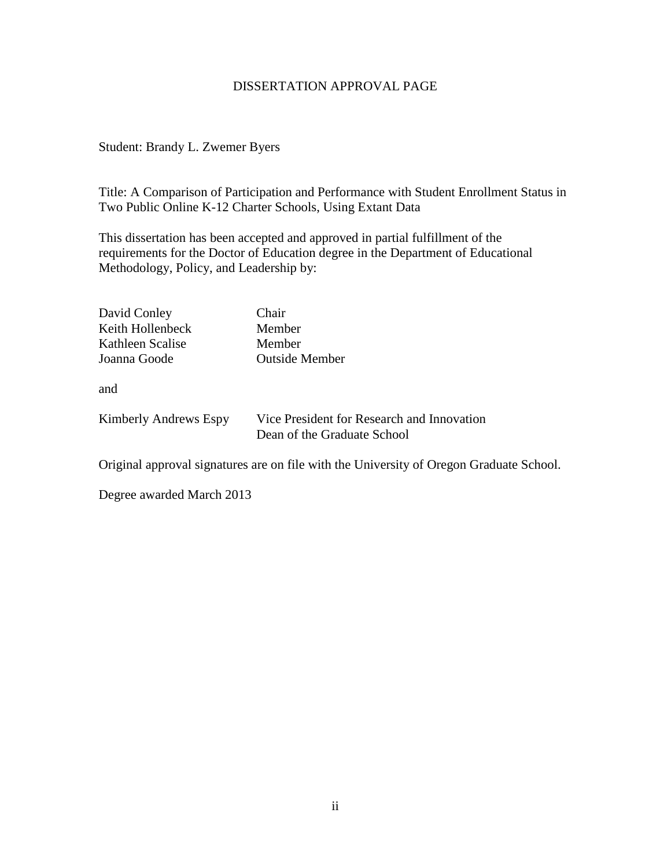# DISSERTATION APPROVAL PAGE

# Student: Brandy L. Zwemer Byers

Title: A Comparison of Participation and Performance with Student Enrollment Status in Two Public Online K-12 Charter Schools, Using Extant Data

This dissertation has been accepted and approved in partial fulfillment of the requirements for the Doctor of Education degree in the Department of Educational Methodology, Policy, and Leadership by:

| David Conley          | Chair                                                                     |
|-----------------------|---------------------------------------------------------------------------|
| Keith Hollenbeck      | Member                                                                    |
| Kathleen Scalise      | Member                                                                    |
| Joanna Goode          | <b>Outside Member</b>                                                     |
| and                   |                                                                           |
| Kimberly Andrews Espy | Vice President for Research and Innovation<br>Dean of the Graduate School |

Original approval signatures are on file with the University of Oregon Graduate School.

Degree awarded March 2013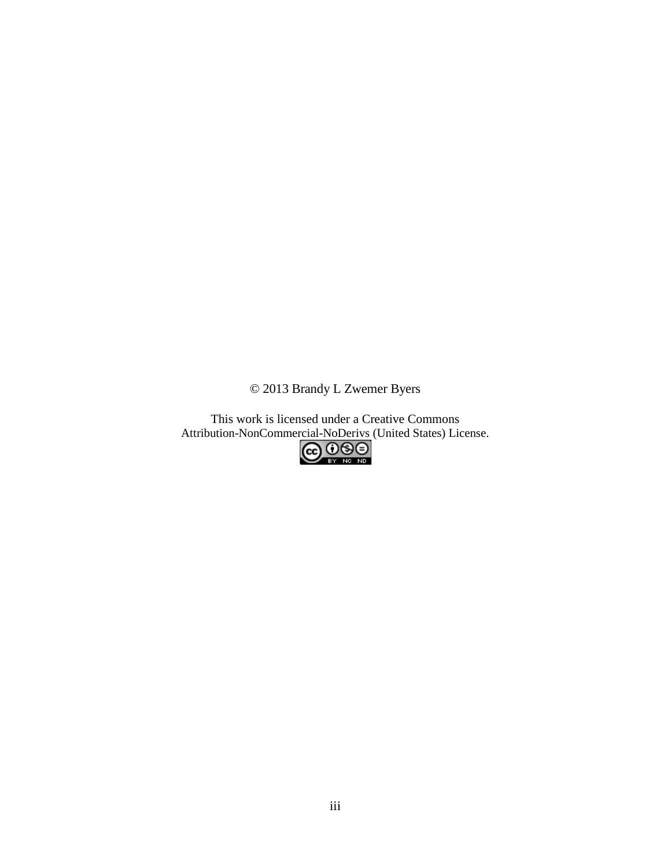© 2013 Brandy L Zwemer Byers

This work is licensed under a Creative Commons Attribution-NonCommercial-NoDerivs (United States) License.<br>
CO O O D

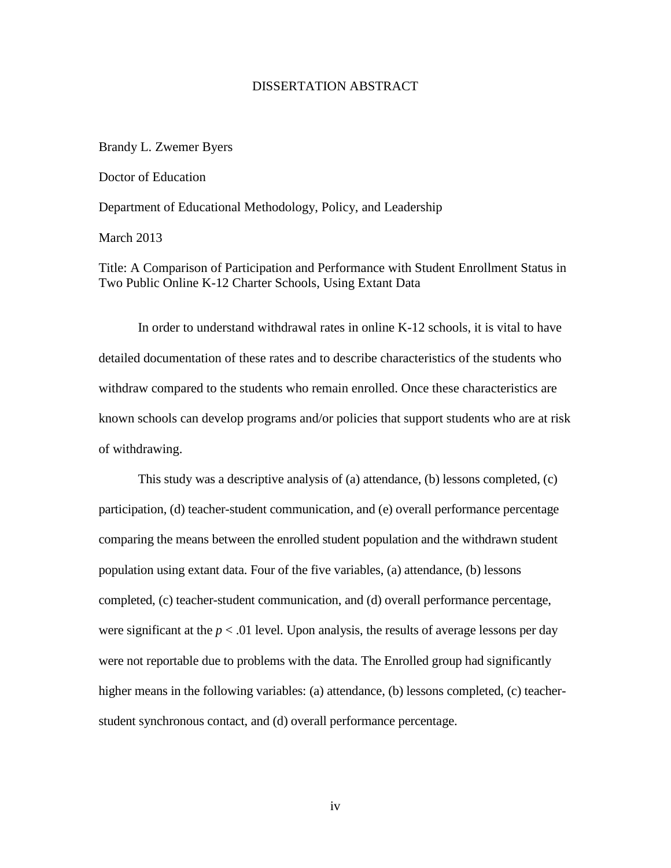## DISSERTATION ABSTRACT

#### Brandy L. Zwemer Byers

Doctor of Education

Department of Educational Methodology, Policy, and Leadership

March 2013

Title: A Comparison of Participation and Performance with Student Enrollment Status in Two Public Online K-12 Charter Schools, Using Extant Data

In order to understand withdrawal rates in online K-12 schools, it is vital to have detailed documentation of these rates and to describe characteristics of the students who withdraw compared to the students who remain enrolled. Once these characteristics are known schools can develop programs and/or policies that support students who are at risk of withdrawing.

This study was a descriptive analysis of (a) attendance, (b) lessons completed, (c) participation, (d) teacher-student communication, and (e) overall performance percentage comparing the means between the enrolled student population and the withdrawn student population using extant data. Four of the five variables, (a) attendance, (b) lessons completed, (c) teacher-student communication, and (d) overall performance percentage, were significant at the  $p < .01$  level. Upon analysis, the results of average lessons per day were not reportable due to problems with the data. The Enrolled group had significantly higher means in the following variables: (a) attendance, (b) lessons completed, (c) teacherstudent synchronous contact, and (d) overall performance percentage.

iv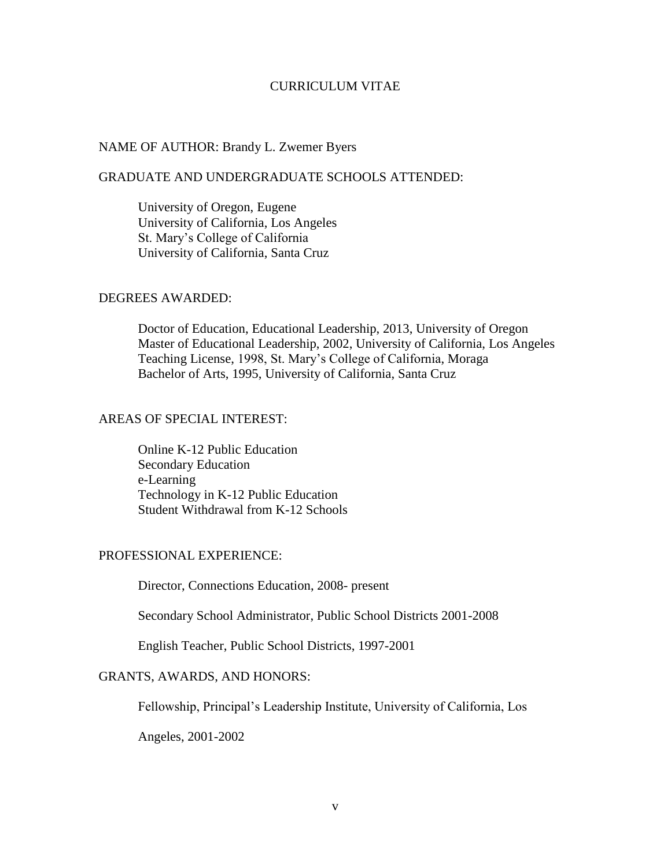## CURRICULUM VITAE

#### NAME OF AUTHOR: Brandy L. Zwemer Byers

# GRADUATE AND UNDERGRADUATE SCHOOLS ATTENDED:

University of Oregon, Eugene University of California, Los Angeles St. Mary's College of California University of California, Santa Cruz

#### DEGREES AWARDED:

Doctor of Education, Educational Leadership, 2013, University of Oregon Master of Educational Leadership, 2002, University of California, Los Angeles Teaching License, 1998, St. Mary's College of California, Moraga Bachelor of Arts, 1995, University of California, Santa Cruz

# AREAS OF SPECIAL INTEREST:

Online K-12 Public Education Secondary Education e-Learning Technology in K-12 Public Education Student Withdrawal from K-12 Schools

# PROFESSIONAL EXPERIENCE:

Director, Connections Education, 2008- present

Secondary School Administrator, Public School Districts 2001-2008

English Teacher, Public School Districts, 1997-2001

# GRANTS, AWARDS, AND HONORS:

Fellowship, Principal's Leadership Institute, University of California, Los

Angeles, 2001-2002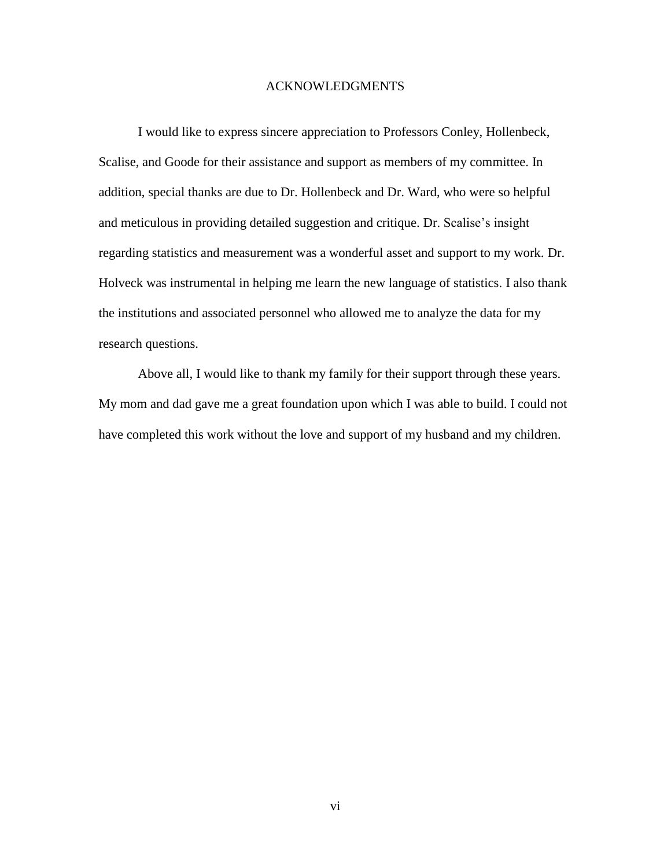## ACKNOWLEDGMENTS

I would like to express sincere appreciation to Professors Conley, Hollenbeck, Scalise, and Goode for their assistance and support as members of my committee. In addition, special thanks are due to Dr. Hollenbeck and Dr. Ward, who were so helpful and meticulous in providing detailed suggestion and critique. Dr. Scalise's insight regarding statistics and measurement was a wonderful asset and support to my work. Dr. Holveck was instrumental in helping me learn the new language of statistics. I also thank the institutions and associated personnel who allowed me to analyze the data for my research questions.

Above all, I would like to thank my family for their support through these years. My mom and dad gave me a great foundation upon which I was able to build. I could not have completed this work without the love and support of my husband and my children.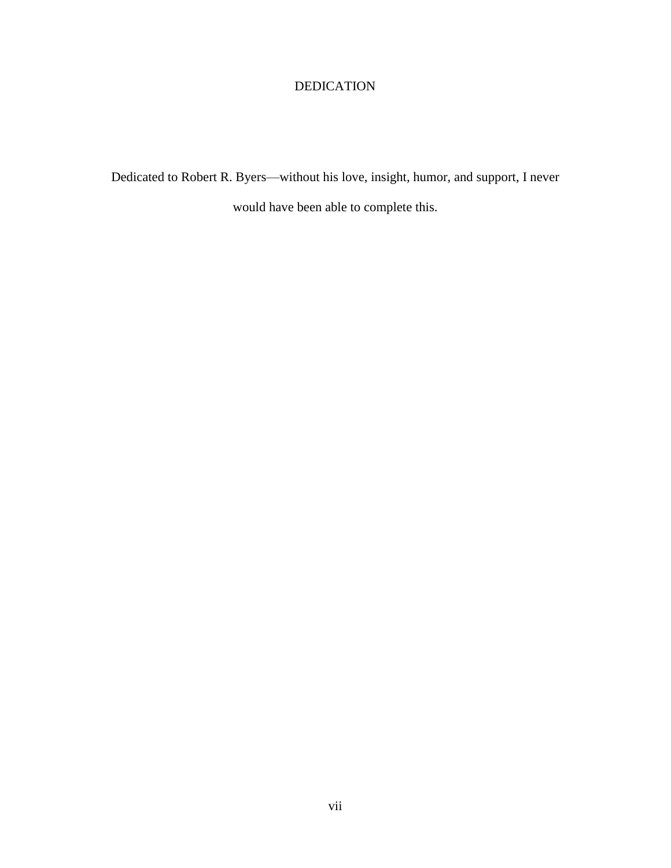# DEDICATION

Dedicated to Robert R. Byers—without his love, insight, humor, and support, I never would have been able to complete this.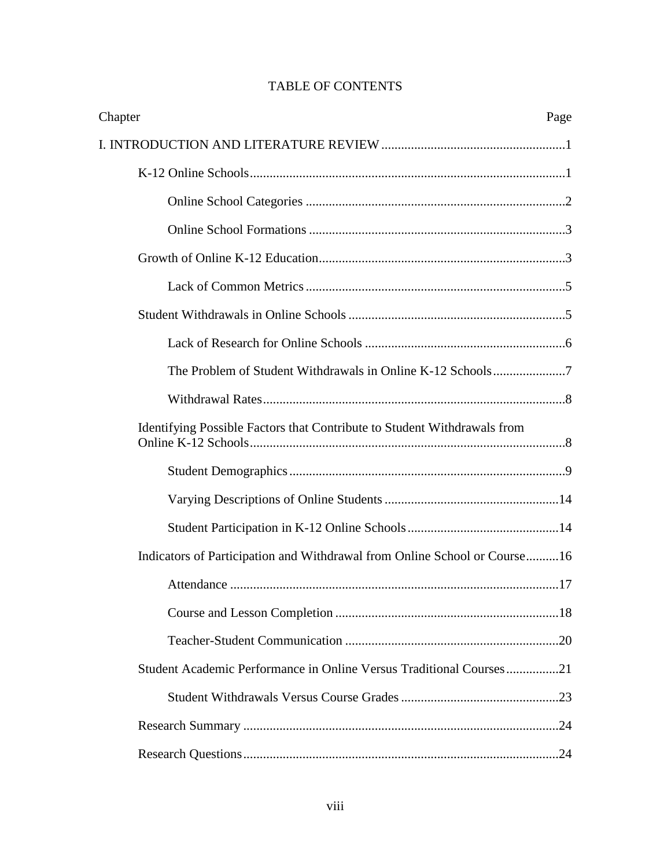| Chapter<br>Page                                                           |  |
|---------------------------------------------------------------------------|--|
|                                                                           |  |
|                                                                           |  |
|                                                                           |  |
|                                                                           |  |
|                                                                           |  |
|                                                                           |  |
|                                                                           |  |
|                                                                           |  |
|                                                                           |  |
|                                                                           |  |
| Identifying Possible Factors that Contribute to Student Withdrawals from  |  |
|                                                                           |  |
|                                                                           |  |
|                                                                           |  |
| Indicators of Participation and Withdrawal from Online School or Course16 |  |
|                                                                           |  |
|                                                                           |  |
|                                                                           |  |
| Student Academic Performance in Online Versus Traditional Courses21       |  |
|                                                                           |  |
|                                                                           |  |
|                                                                           |  |

# TABLE OF CONTENTS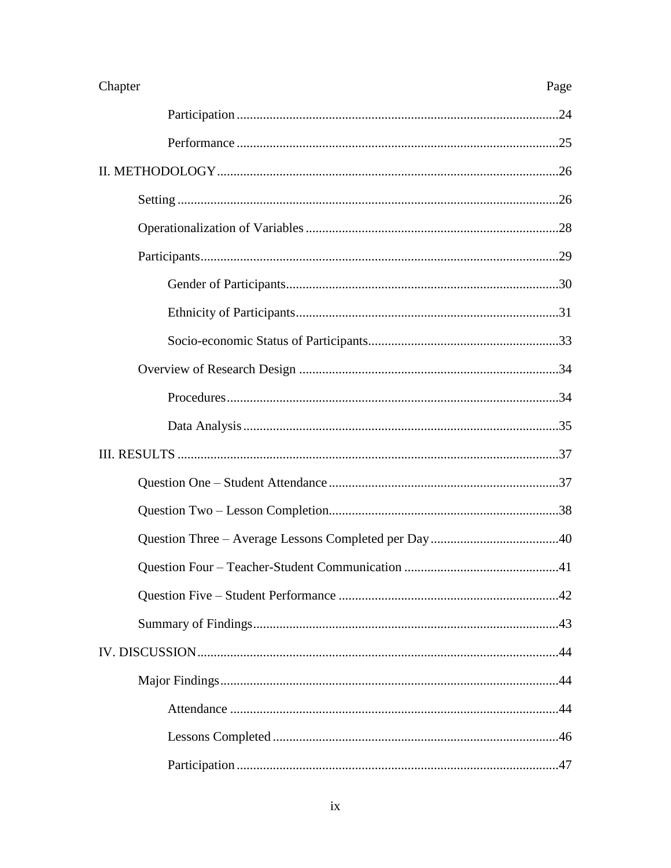| Chapter | Page |  |
|---------|------|--|
|         |      |  |
|         |      |  |
|         |      |  |
|         |      |  |
|         |      |  |
|         |      |  |
|         |      |  |
|         |      |  |
|         |      |  |
|         |      |  |
|         |      |  |
|         |      |  |
|         |      |  |
|         |      |  |
|         |      |  |
|         |      |  |
|         | .41  |  |
|         |      |  |
|         |      |  |
|         |      |  |
|         |      |  |
|         |      |  |
|         |      |  |
|         |      |  |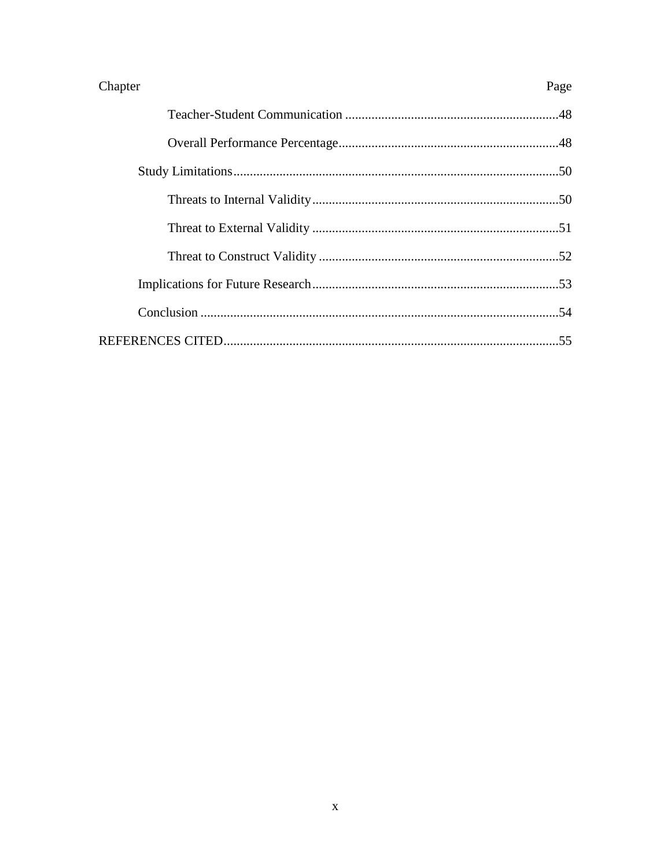| Chapter | Page |
|---------|------|
|         |      |
|         |      |
|         |      |
|         |      |
|         |      |
|         |      |
|         |      |
|         |      |
|         |      |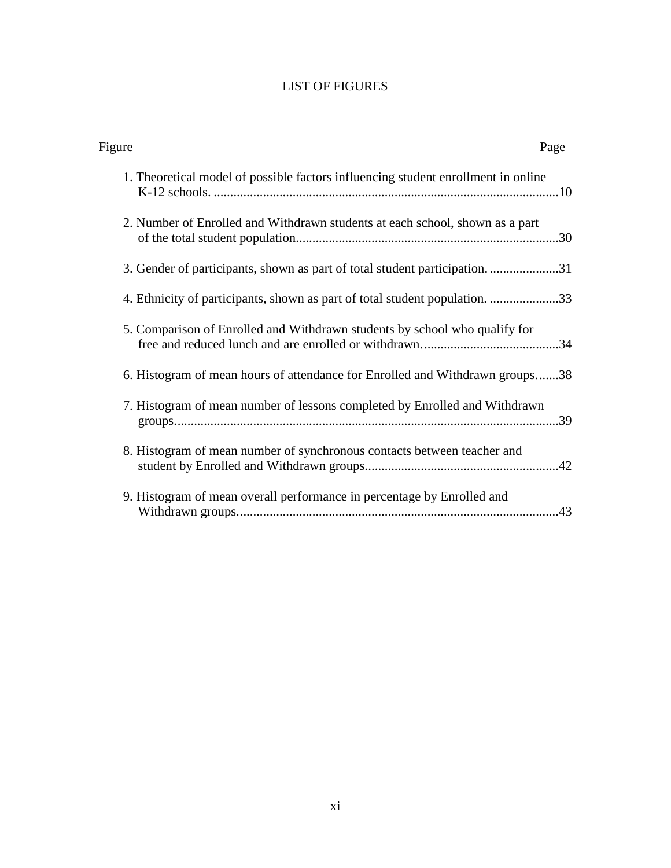# LIST OF FIGURES

| Figure |                                                                                   | Page |
|--------|-----------------------------------------------------------------------------------|------|
|        | 1. Theoretical model of possible factors influencing student enrollment in online |      |
|        | 2. Number of Enrolled and Withdrawn students at each school, shown as a part      |      |
|        | 3. Gender of participants, shown as part of total student participation31         |      |
|        | 4. Ethnicity of participants, shown as part of total student population33         |      |
|        | 5. Comparison of Enrolled and Withdrawn students by school who qualify for        |      |
|        | 6. Histogram of mean hours of attendance for Enrolled and Withdrawn groups38      |      |
|        | 7. Histogram of mean number of lessons completed by Enrolled and Withdrawn        |      |
|        | 8. Histogram of mean number of synchronous contacts between teacher and           |      |
|        | 9. Histogram of mean overall performance in percentage by Enrolled and            |      |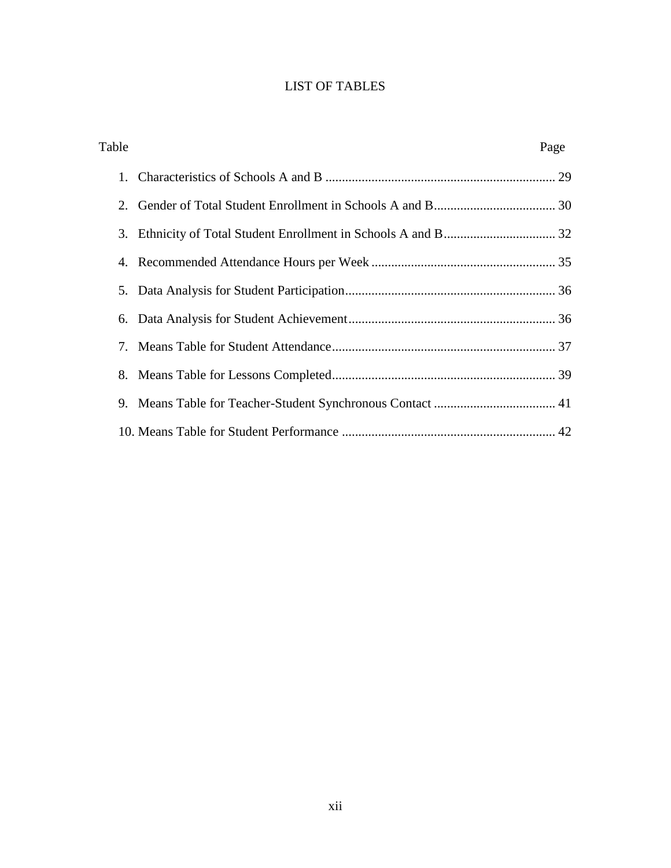# LIST OF TABLES

| Table | Page |
|-------|------|
|       |      |
|       |      |
|       |      |
|       |      |
|       |      |
|       |      |
|       |      |
|       |      |
|       |      |
|       |      |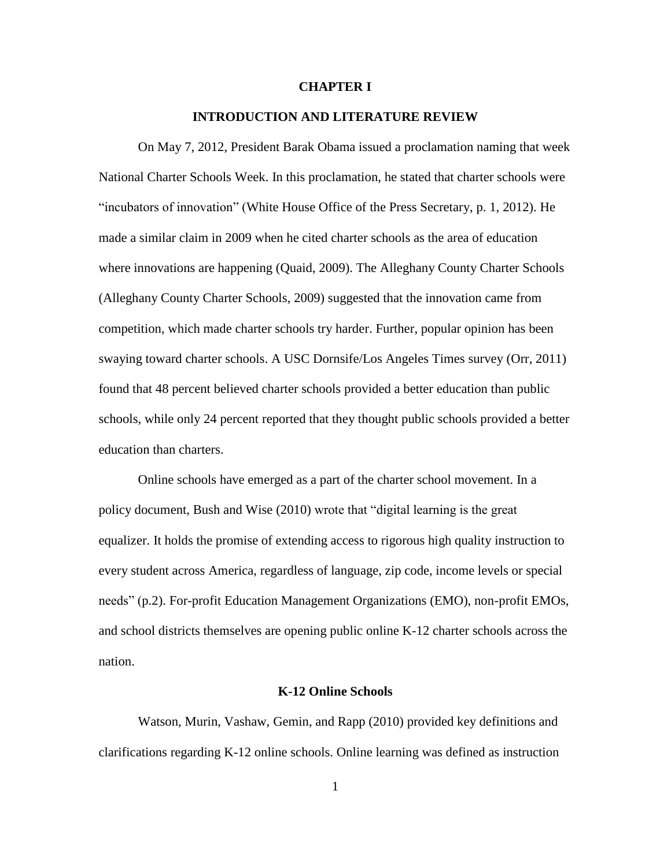#### **CHAPTER I**

## **INTRODUCTION AND LITERATURE REVIEW**

<span id="page-12-0"></span>On May 7, 2012, President Barak Obama issued a proclamation naming that week National Charter Schools Week. In this proclamation, he stated that charter schools were "incubators of innovation" (White House Office of the Press Secretary, p. 1, 2012). He made a similar claim in 2009 when he cited charter schools as the area of education where innovations are happening (Quaid, 2009). The Alleghany County Charter Schools (Alleghany County Charter Schools, 2009) suggested that the innovation came from competition, which made charter schools try harder. Further, popular opinion has been swaying toward charter schools. A USC Dornsife/Los Angeles Times survey (Orr, 2011) found that 48 percent believed charter schools provided a better education than public schools, while only 24 percent reported that they thought public schools provided a better education than charters.

Online schools have emerged as a part of the charter school movement. In a policy document, Bush and Wise (2010) wrote that "digital learning is the great equalizer. It holds the promise of extending access to rigorous high quality instruction to every student across America, regardless of language, zip code, income levels or special needs" (p.2). For-profit Education Management Organizations (EMO), non-profit EMOs, and school districts themselves are opening public online K-12 charter schools across the nation.

#### **K-12 Online Schools**

<span id="page-12-1"></span>Watson, Murin, Vashaw, Gemin, and Rapp (2010) provided key definitions and clarifications regarding K-12 online schools. Online learning was defined as instruction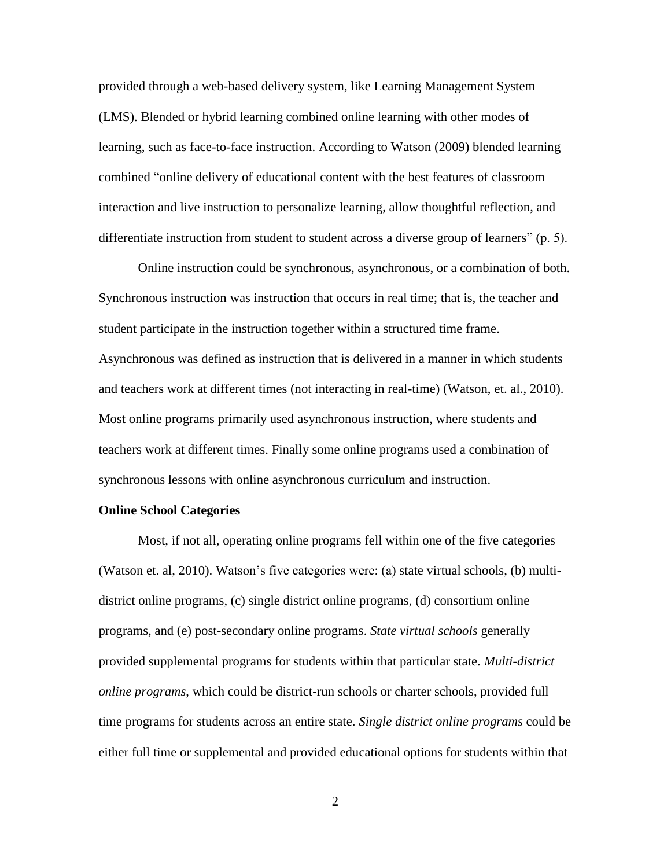provided through a web-based delivery system, like Learning Management System (LMS). Blended or hybrid learning combined online learning with other modes of learning, such as face-to-face instruction. According to Watson (2009) blended learning combined "online delivery of educational content with the best features of classroom interaction and live instruction to personalize learning, allow thoughtful reflection, and differentiate instruction from student to student across a diverse group of learners" (p. 5).

Online instruction could be synchronous, asynchronous, or a combination of both. Synchronous instruction was instruction that occurs in real time; that is, the teacher and student participate in the instruction together within a structured time frame. Asynchronous was defined as instruction that is delivered in a manner in which students and teachers work at different times (not interacting in real-time) (Watson, et. al., 2010). Most online programs primarily used asynchronous instruction, where students and teachers work at different times. Finally some online programs used a combination of synchronous lessons with online asynchronous curriculum and instruction.

#### <span id="page-13-0"></span>**Online School Categories**

Most, if not all, operating online programs fell within one of the five categories (Watson et. al, 2010). Watson's five categories were: (a) state virtual schools, (b) multidistrict online programs, (c) single district online programs, (d) consortium online programs, and (e) post-secondary online programs. *State virtual schools* generally provided supplemental programs for students within that particular state. *Multi-district online programs*, which could be district-run schools or charter schools, provided full time programs for students across an entire state. *Single district online programs* could be either full time or supplemental and provided educational options for students within that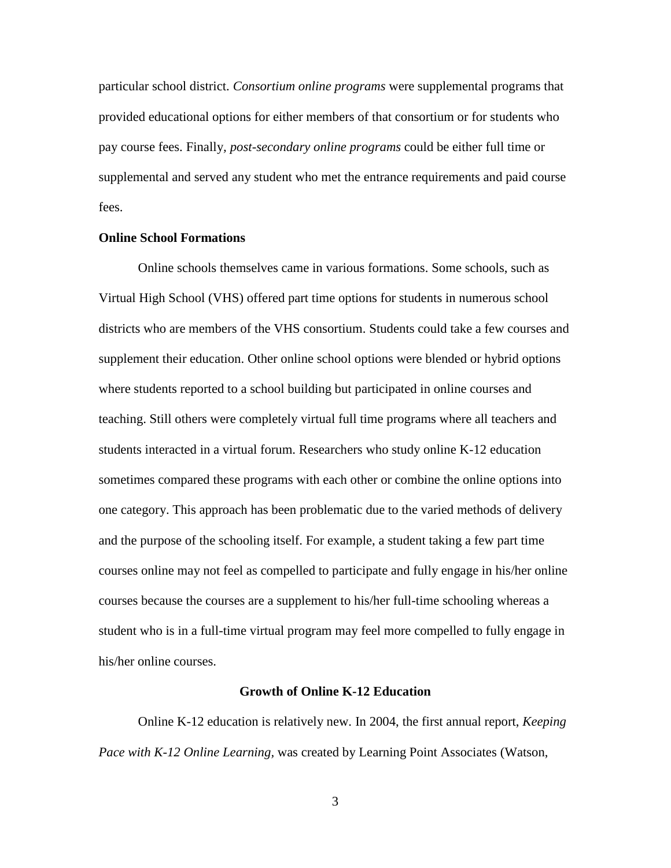particular school district. *Consortium online programs* were supplemental programs that provided educational options for either members of that consortium or for students who pay course fees. Finally*, post-secondary online programs* could be either full time or supplemental and served any student who met the entrance requirements and paid course fees.

## <span id="page-14-0"></span>**Online School Formations**

Online schools themselves came in various formations. Some schools, such as Virtual High School (VHS) offered part time options for students in numerous school districts who are members of the VHS consortium. Students could take a few courses and supplement their education. Other online school options were blended or hybrid options where students reported to a school building but participated in online courses and teaching. Still others were completely virtual full time programs where all teachers and students interacted in a virtual forum. Researchers who study online K-12 education sometimes compared these programs with each other or combine the online options into one category. This approach has been problematic due to the varied methods of delivery and the purpose of the schooling itself. For example, a student taking a few part time courses online may not feel as compelled to participate and fully engage in his/her online courses because the courses are a supplement to his/her full-time schooling whereas a student who is in a full-time virtual program may feel more compelled to fully engage in his/her online courses.

#### **Growth of Online K-12 Education**

<span id="page-14-1"></span>Online K-12 education is relatively new. In 2004, the first annual report, *Keeping Pace with K-12 Online Learning,* was created by Learning Point Associates (Watson,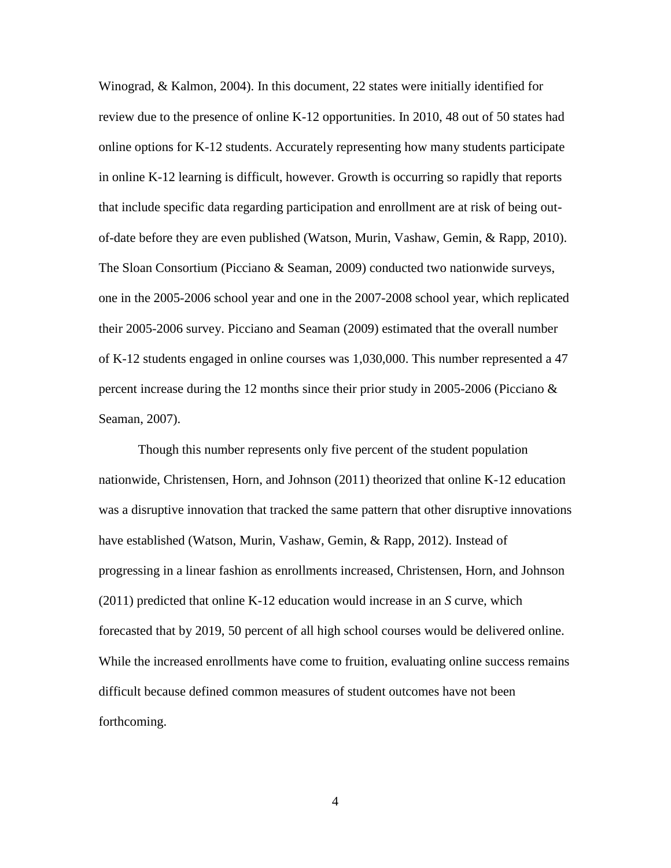Winograd, & Kalmon, 2004). In this document, 22 states were initially identified for review due to the presence of online K-12 opportunities. In 2010, 48 out of 50 states had online options for K-12 students. Accurately representing how many students participate in online K-12 learning is difficult, however. Growth is occurring so rapidly that reports that include specific data regarding participation and enrollment are at risk of being outof-date before they are even published (Watson, Murin, Vashaw, Gemin, & Rapp, 2010). The Sloan Consortium (Picciano & Seaman, 2009) conducted two nationwide surveys, one in the 2005-2006 school year and one in the 2007-2008 school year, which replicated their 2005-2006 survey. Picciano and Seaman (2009) estimated that the overall number of K-12 students engaged in online courses was 1,030,000. This number represented a 47 percent increase during the 12 months since their prior study in 2005-2006 (Picciano & Seaman, 2007).

Though this number represents only five percent of the student population nationwide, Christensen, Horn, and Johnson (2011) theorized that online K-12 education was a disruptive innovation that tracked the same pattern that other disruptive innovations have established (Watson, Murin, Vashaw, Gemin, & Rapp, 2012). Instead of progressing in a linear fashion as enrollments increased, Christensen, Horn, and Johnson (2011) predicted that online K-12 education would increase in an *S* curve, which forecasted that by 2019, 50 percent of all high school courses would be delivered online. While the increased enrollments have come to fruition, evaluating online success remains difficult because defined common measures of student outcomes have not been forthcoming.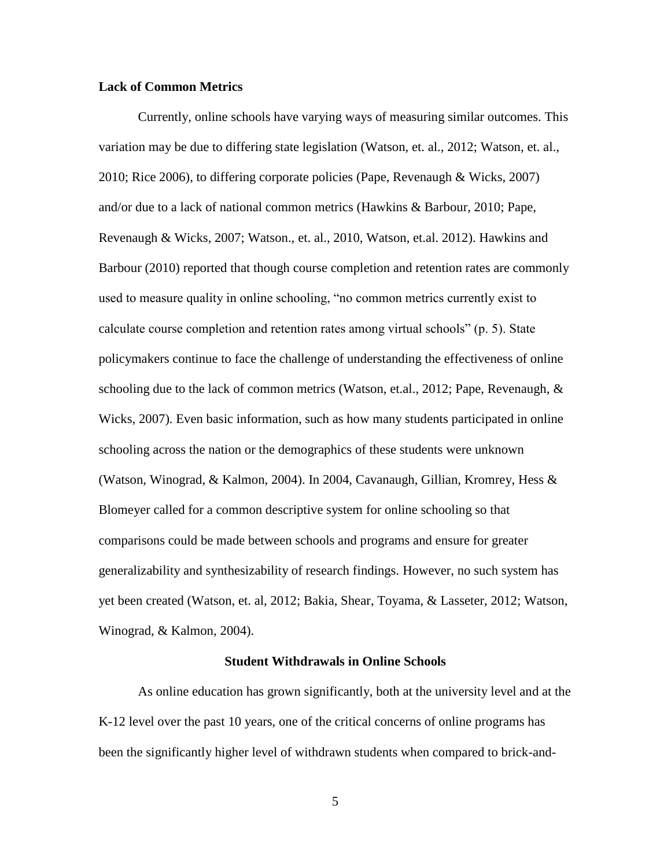#### <span id="page-16-0"></span>**Lack of Common Metrics**

Currently, online schools have varying ways of measuring similar outcomes. This variation may be due to differing state legislation (Watson, et. al., 2012; Watson, et. al., 2010; Rice 2006), to differing corporate policies (Pape, Revenaugh & Wicks, 2007) and/or due to a lack of national common metrics (Hawkins & Barbour, 2010; Pape, Revenaugh & Wicks, 2007; Watson., et. al., 2010, Watson, et.al. 2012). Hawkins and Barbour (2010) reported that though course completion and retention rates are commonly used to measure quality in online schooling, "no common metrics currently exist to calculate course completion and retention rates among virtual schools" (p. 5). State policymakers continue to face the challenge of understanding the effectiveness of online schooling due to the lack of common metrics (Watson, et.al., 2012; Pape, Revenaugh, & Wicks, 2007). Even basic information, such as how many students participated in online schooling across the nation or the demographics of these students were unknown (Watson, Winograd, & Kalmon, 2004). In 2004, Cavanaugh, Gillian, Kromrey, Hess & Blomeyer called for a common descriptive system for online schooling so that comparisons could be made between schools and programs and ensure for greater generalizability and synthesizability of research findings. However, no such system has yet been created (Watson, et. al, 2012; Bakia, Shear, Toyama, & Lasseter, 2012; Watson, Winograd, & Kalmon*,* 2004).

#### **Student Withdrawals in Online Schools**

<span id="page-16-1"></span>As online education has grown significantly, both at the university level and at the K-12 level over the past 10 years, one of the critical concerns of online programs has been the significantly higher level of withdrawn students when compared to brick-and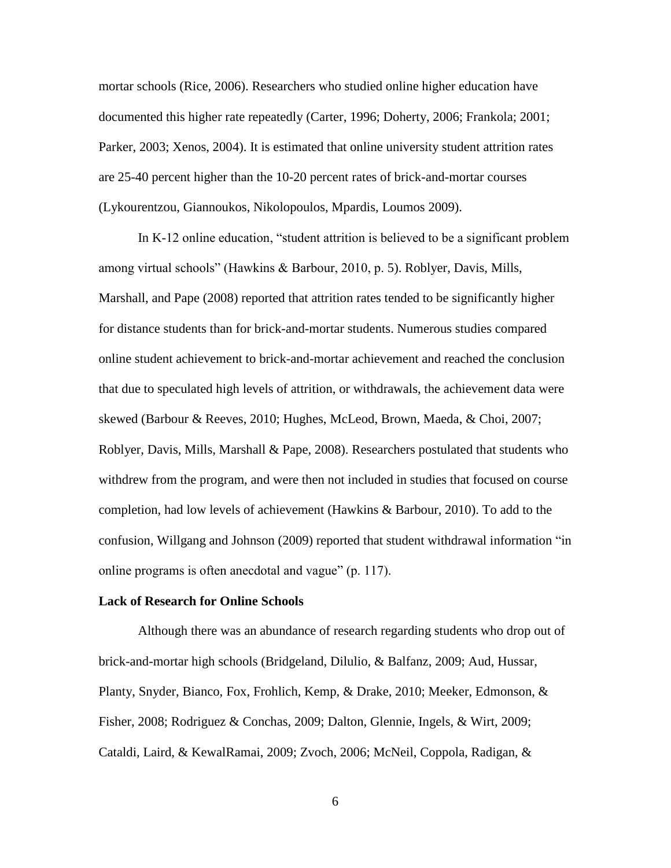mortar schools (Rice, 2006). Researchers who studied online higher education have documented this higher rate repeatedly (Carter, 1996; Doherty, 2006; Frankola; 2001; Parker, 2003; Xenos, 2004). It is estimated that online university student attrition rates are 25-40 percent higher than the 10-20 percent rates of brick-and-mortar courses (Lykourentzou, Giannoukos, Nikolopoulos, Mpardis, Loumos 2009).

In K-12 online education, "student attrition is believed to be a significant problem among virtual schools" (Hawkins & Barbour, 2010, p. 5). Roblyer, Davis, Mills, Marshall, and Pape (2008) reported that attrition rates tended to be significantly higher for distance students than for brick-and-mortar students. Numerous studies compared online student achievement to brick-and-mortar achievement and reached the conclusion that due to speculated high levels of attrition, or withdrawals, the achievement data were skewed (Barbour & Reeves, 2010; Hughes, McLeod, Brown, Maeda, & Choi, 2007; Roblyer, Davis, Mills, Marshall & Pape, 2008). Researchers postulated that students who withdrew from the program, and were then not included in studies that focused on course completion, had low levels of achievement (Hawkins & Barbour, 2010). To add to the confusion, Willgang and Johnson (2009) reported that student withdrawal information "in online programs is often anecdotal and vague" (p. 117).

#### <span id="page-17-0"></span>**Lack of Research for Online Schools**

Although there was an abundance of research regarding students who drop out of brick-and-mortar high schools (Bridgeland, Dilulio, & Balfanz, 2009; Aud, Hussar, Planty, Snyder, Bianco, Fox, Frohlich, Kemp, & Drake, 2010; Meeker, Edmonson, & Fisher, 2008; Rodriguez & Conchas, 2009; Dalton, Glennie, Ingels, & Wirt, 2009; Cataldi, Laird, & KewalRamai, 2009; Zvoch, 2006; McNeil, Coppola, Radigan, &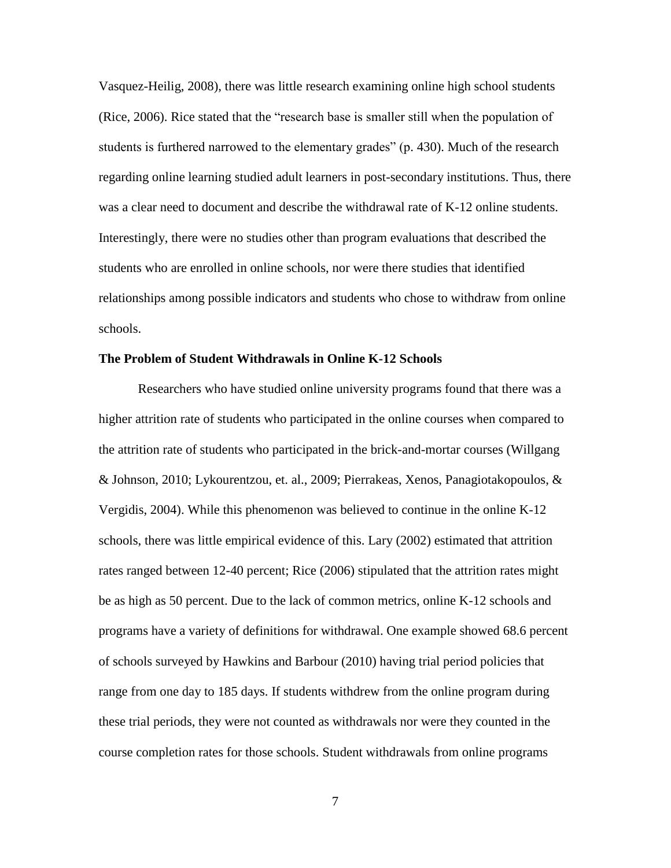Vasquez-Heilig, 2008), there was little research examining online high school students (Rice, 2006). Rice stated that the "research base is smaller still when the population of students is furthered narrowed to the elementary grades" (p. 430). Much of the research regarding online learning studied adult learners in post-secondary institutions. Thus, there was a clear need to document and describe the withdrawal rate of K-12 online students. Interestingly, there were no studies other than program evaluations that described the students who are enrolled in online schools, nor were there studies that identified relationships among possible indicators and students who chose to withdraw from online schools.

#### <span id="page-18-0"></span>**The Problem of Student Withdrawals in Online K-12 Schools**

Researchers who have studied online university programs found that there was a higher attrition rate of students who participated in the online courses when compared to the attrition rate of students who participated in the brick-and-mortar courses (Willgang & Johnson, 2010; Lykourentzou, et. al., 2009; Pierrakeas, Xenos, Panagiotakopoulos, & Vergidis, 2004). While this phenomenon was believed to continue in the online K-12 schools, there was little empirical evidence of this. Lary (2002) estimated that attrition rates ranged between 12-40 percent; Rice (2006) stipulated that the attrition rates might be as high as 50 percent. Due to the lack of common metrics, online K-12 schools and programs have a variety of definitions for withdrawal. One example showed 68.6 percent of schools surveyed by Hawkins and Barbour (2010) having trial period policies that range from one day to 185 days. If students withdrew from the online program during these trial periods, they were not counted as withdrawals nor were they counted in the course completion rates for those schools. Student withdrawals from online programs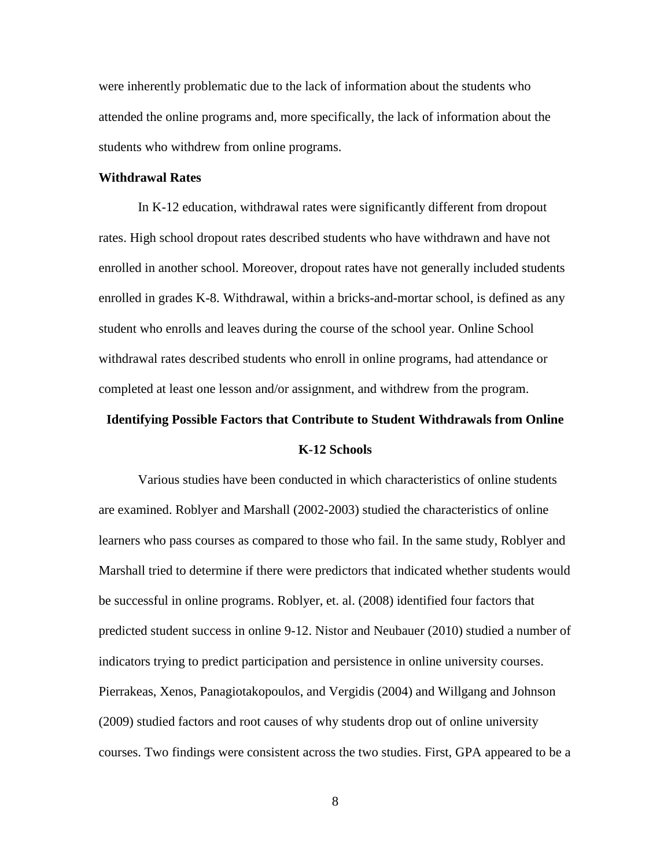were inherently problematic due to the lack of information about the students who attended the online programs and, more specifically, the lack of information about the students who withdrew from online programs.

#### <span id="page-19-0"></span>**Withdrawal Rates**

In K-12 education, withdrawal rates were significantly different from dropout rates. High school dropout rates described students who have withdrawn and have not enrolled in another school. Moreover, dropout rates have not generally included students enrolled in grades K-8. Withdrawal, within a bricks-and-mortar school, is defined as any student who enrolls and leaves during the course of the school year. Online School withdrawal rates described students who enroll in online programs, had attendance or completed at least one lesson and/or assignment, and withdrew from the program.

# <span id="page-19-1"></span>**Identifying Possible Factors that Contribute to Student Withdrawals from Online**

#### **K-12 Schools**

Various studies have been conducted in which characteristics of online students are examined. Roblyer and Marshall (2002-2003) studied the characteristics of online learners who pass courses as compared to those who fail. In the same study, Roblyer and Marshall tried to determine if there were predictors that indicated whether students would be successful in online programs. Roblyer, et. al. (2008) identified four factors that predicted student success in online 9-12. Nistor and Neubauer (2010) studied a number of indicators trying to predict participation and persistence in online university courses. Pierrakeas, Xenos, Panagiotakopoulos, and Vergidis (2004) and Willgang and Johnson (2009) studied factors and root causes of why students drop out of online university courses. Two findings were consistent across the two studies. First, GPA appeared to be a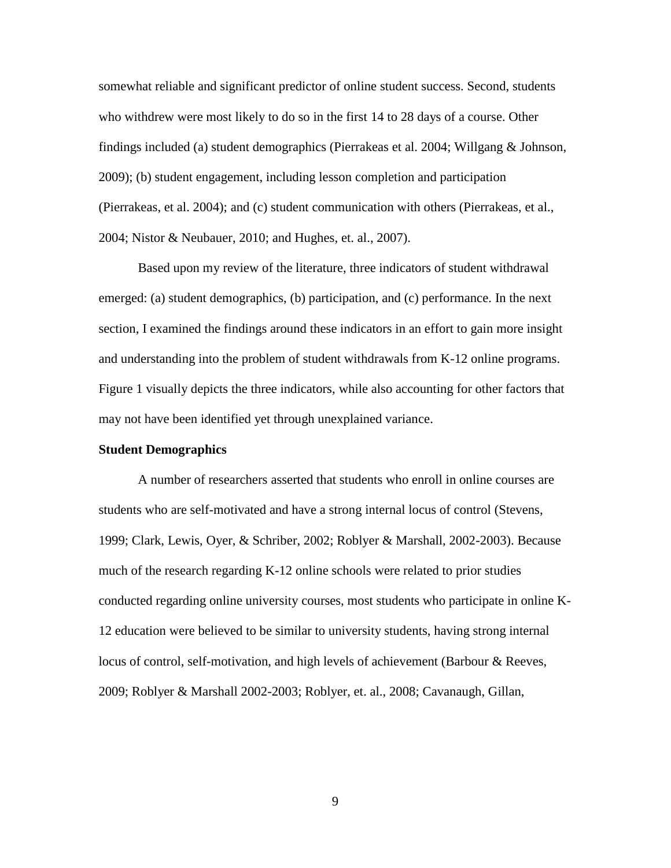somewhat reliable and significant predictor of online student success. Second, students who withdrew were most likely to do so in the first 14 to 28 days of a course. Other findings included (a) student demographics (Pierrakeas et al. 2004; Willgang & Johnson, 2009); (b) student engagement, including lesson completion and participation (Pierrakeas, et al. 2004); and (c) student communication with others (Pierrakeas, et al., 2004; Nistor & Neubauer, 2010; and Hughes, et. al., 2007).

Based upon my review of the literature, three indicators of student withdrawal emerged: (a) student demographics, (b) participation, and (c) performance. In the next section, I examined the findings around these indicators in an effort to gain more insight and understanding into the problem of student withdrawals from K-12 online programs. Figure 1 visually depicts the three indicators, while also accounting for other factors that may not have been identified yet through unexplained variance.

#### <span id="page-20-0"></span>**Student Demographics**

A number of researchers asserted that students who enroll in online courses are students who are self-motivated and have a strong internal locus of control (Stevens, 1999; Clark, Lewis, Oyer, & Schriber, 2002; Roblyer & Marshall, 2002-2003). Because much of the research regarding K-12 online schools were related to prior studies conducted regarding online university courses, most students who participate in online K-12 education were believed to be similar to university students, having strong internal locus of control, self-motivation, and high levels of achievement (Barbour & Reeves, 2009; Roblyer & Marshall 2002-2003; Roblyer, et. al., 2008; Cavanaugh, Gillan,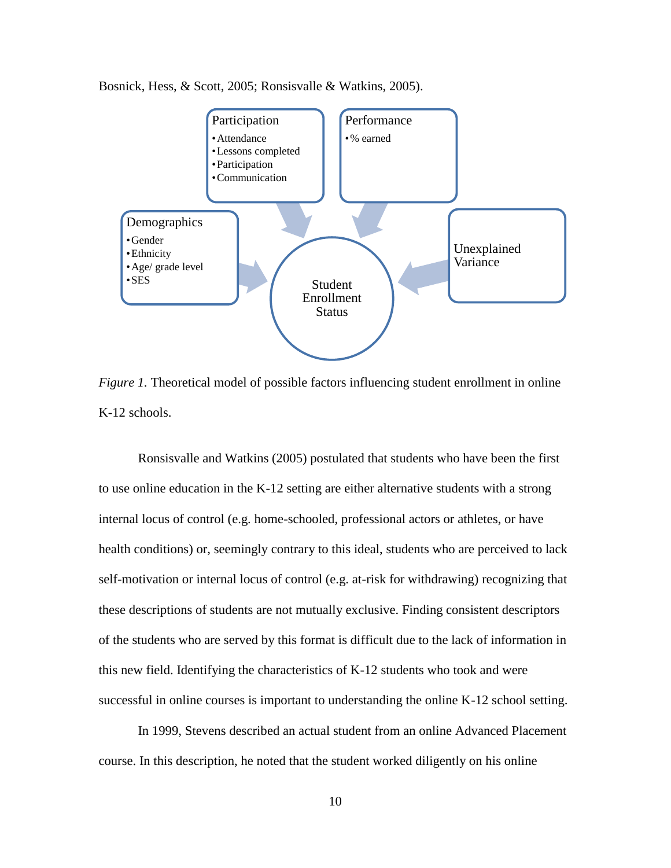



<span id="page-21-0"></span>*Figure 1.* Theoretical model of possible factors influencing student enrollment in online K-12 schools.

Ronsisvalle and Watkins (2005) postulated that students who have been the first to use online education in the K-12 setting are either alternative students with a strong internal locus of control (e.g. home-schooled, professional actors or athletes, or have health conditions) or, seemingly contrary to this ideal, students who are perceived to lack self-motivation or internal locus of control (e.g. at-risk for withdrawing) recognizing that these descriptions of students are not mutually exclusive. Finding consistent descriptors of the students who are served by this format is difficult due to the lack of information in this new field. Identifying the characteristics of K-12 students who took and were successful in online courses is important to understanding the online K-12 school setting.

In 1999, Stevens described an actual student from an online Advanced Placement course. In this description, he noted that the student worked diligently on his online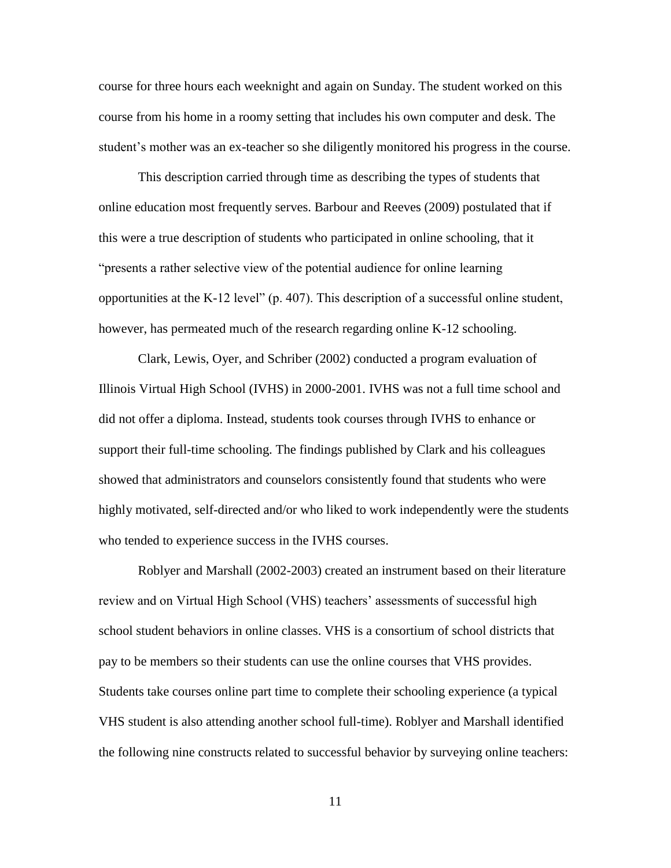course for three hours each weeknight and again on Sunday. The student worked on this course from his home in a roomy setting that includes his own computer and desk. The student's mother was an ex-teacher so she diligently monitored his progress in the course.

This description carried through time as describing the types of students that online education most frequently serves. Barbour and Reeves (2009) postulated that if this were a true description of students who participated in online schooling, that it "presents a rather selective view of the potential audience for online learning opportunities at the K-12 level" (p. 407). This description of a successful online student, however, has permeated much of the research regarding online K-12 schooling.

Clark, Lewis, Oyer, and Schriber (2002) conducted a program evaluation of Illinois Virtual High School (IVHS) in 2000-2001. IVHS was not a full time school and did not offer a diploma. Instead, students took courses through IVHS to enhance or support their full-time schooling. The findings published by Clark and his colleagues showed that administrators and counselors consistently found that students who were highly motivated, self-directed and/or who liked to work independently were the students who tended to experience success in the IVHS courses.

Roblyer and Marshall (2002-2003) created an instrument based on their literature review and on Virtual High School (VHS) teachers' assessments of successful high school student behaviors in online classes. VHS is a consortium of school districts that pay to be members so their students can use the online courses that VHS provides. Students take courses online part time to complete their schooling experience (a typical VHS student is also attending another school full-time). Roblyer and Marshall identified the following nine constructs related to successful behavior by surveying online teachers: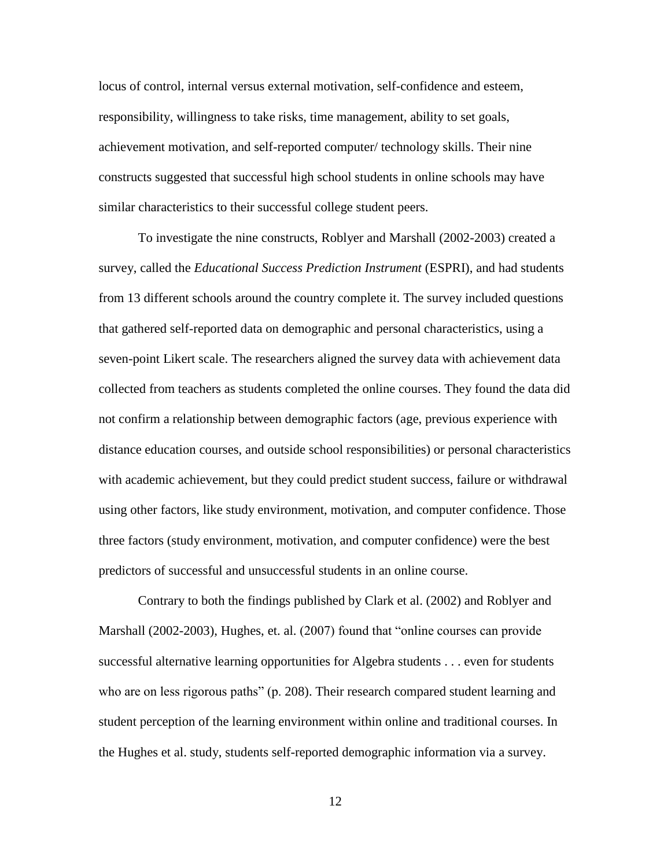locus of control, internal versus external motivation, self-confidence and esteem, responsibility, willingness to take risks, time management, ability to set goals, achievement motivation, and self-reported computer/ technology skills. Their nine constructs suggested that successful high school students in online schools may have similar characteristics to their successful college student peers.

To investigate the nine constructs, Roblyer and Marshall (2002-2003) created a survey, called the *Educational Success Prediction Instrument* (ESPRI), and had students from 13 different schools around the country complete it. The survey included questions that gathered self-reported data on demographic and personal characteristics, using a seven-point Likert scale. The researchers aligned the survey data with achievement data collected from teachers as students completed the online courses. They found the data did not confirm a relationship between demographic factors (age, previous experience with distance education courses, and outside school responsibilities) or personal characteristics with academic achievement, but they could predict student success, failure or withdrawal using other factors, like study environment, motivation, and computer confidence. Those three factors (study environment, motivation, and computer confidence) were the best predictors of successful and unsuccessful students in an online course.

Contrary to both the findings published by Clark et al. (2002) and Roblyer and Marshall (2002-2003), Hughes, et. al. (2007) found that "online courses can provide successful alternative learning opportunities for Algebra students . . . even for students who are on less rigorous paths" (p. 208). Their research compared student learning and student perception of the learning environment within online and traditional courses. In the Hughes et al. study, students self-reported demographic information via a survey.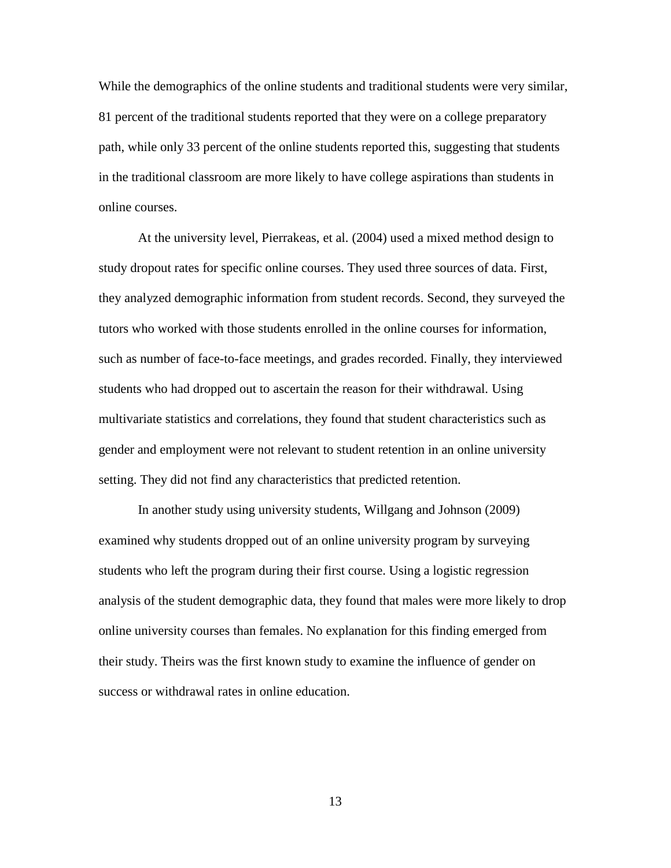While the demographics of the online students and traditional students were very similar, 81 percent of the traditional students reported that they were on a college preparatory path, while only 33 percent of the online students reported this, suggesting that students in the traditional classroom are more likely to have college aspirations than students in online courses.

At the university level, Pierrakeas, et al. (2004) used a mixed method design to study dropout rates for specific online courses. They used three sources of data. First, they analyzed demographic information from student records. Second, they surveyed the tutors who worked with those students enrolled in the online courses for information, such as number of face-to-face meetings, and grades recorded. Finally, they interviewed students who had dropped out to ascertain the reason for their withdrawal. Using multivariate statistics and correlations, they found that student characteristics such as gender and employment were not relevant to student retention in an online university setting. They did not find any characteristics that predicted retention.

In another study using university students, Willgang and Johnson (2009) examined why students dropped out of an online university program by surveying students who left the program during their first course. Using a logistic regression analysis of the student demographic data, they found that males were more likely to drop online university courses than females. No explanation for this finding emerged from their study. Theirs was the first known study to examine the influence of gender on success or withdrawal rates in online education.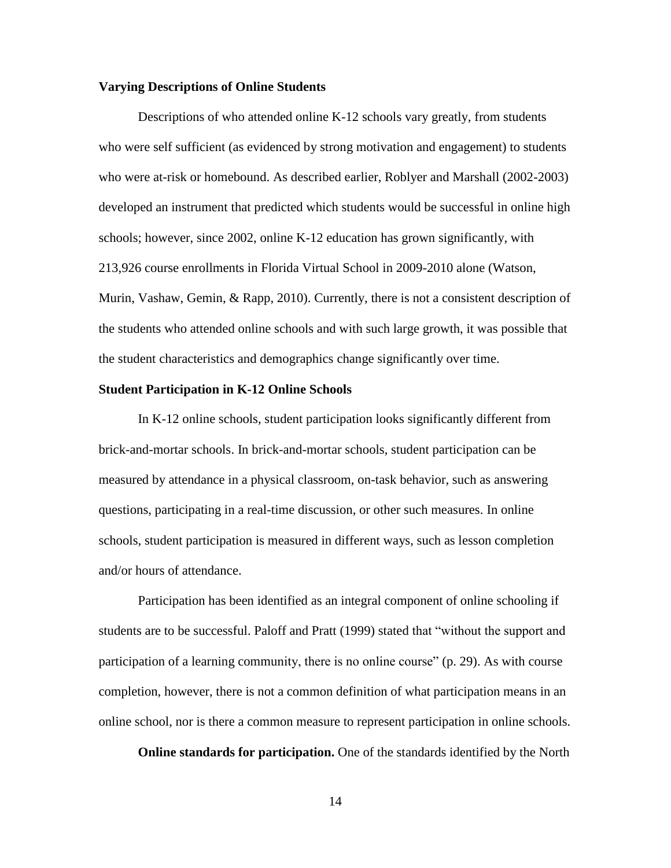#### <span id="page-25-0"></span>**Varying Descriptions of Online Students**

Descriptions of who attended online K-12 schools vary greatly, from students who were self sufficient (as evidenced by strong motivation and engagement) to students who were at-risk or homebound. As described earlier, Roblyer and Marshall (2002-2003) developed an instrument that predicted which students would be successful in online high schools; however, since 2002, online K-12 education has grown significantly, with 213,926 course enrollments in Florida Virtual School in 2009-2010 alone (Watson, Murin, Vashaw, Gemin, & Rapp, 2010). Currently, there is not a consistent description of the students who attended online schools and with such large growth, it was possible that the student characteristics and demographics change significantly over time.

#### <span id="page-25-1"></span>**Student Participation in K-12 Online Schools**

In K-12 online schools, student participation looks significantly different from brick-and-mortar schools. In brick-and-mortar schools, student participation can be measured by attendance in a physical classroom, on-task behavior, such as answering questions, participating in a real-time discussion, or other such measures. In online schools, student participation is measured in different ways, such as lesson completion and/or hours of attendance.

Participation has been identified as an integral component of online schooling if students are to be successful. Paloff and Pratt (1999) stated that "without the support and participation of a learning community, there is no online course" (p. 29). As with course completion, however, there is not a common definition of what participation means in an online school, nor is there a common measure to represent participation in online schools.

**Online standards for participation.** One of the standards identified by the North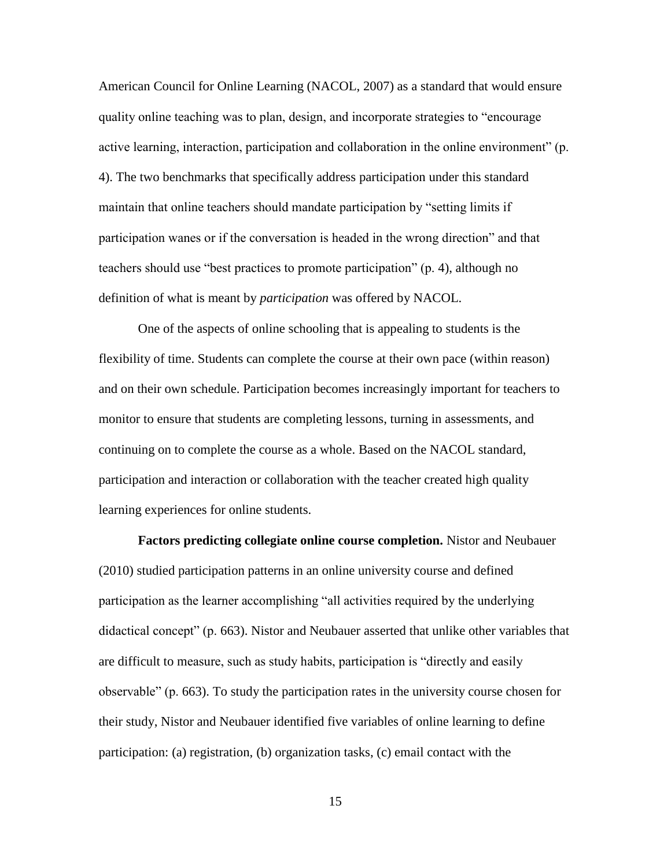American Council for Online Learning (NACOL, 2007) as a standard that would ensure quality online teaching was to plan, design, and incorporate strategies to "encourage active learning, interaction, participation and collaboration in the online environment" (p. 4). The two benchmarks that specifically address participation under this standard maintain that online teachers should mandate participation by "setting limits if participation wanes or if the conversation is headed in the wrong direction" and that teachers should use "best practices to promote participation" (p. 4), although no definition of what is meant by *participation* was offered by NACOL.

One of the aspects of online schooling that is appealing to students is the flexibility of time. Students can complete the course at their own pace (within reason) and on their own schedule. Participation becomes increasingly important for teachers to monitor to ensure that students are completing lessons, turning in assessments, and continuing on to complete the course as a whole. Based on the NACOL standard, participation and interaction or collaboration with the teacher created high quality learning experiences for online students.

**Factors predicting collegiate online course completion.** Nistor and Neubauer (2010) studied participation patterns in an online university course and defined participation as the learner accomplishing "all activities required by the underlying didactical concept" (p. 663). Nistor and Neubauer asserted that unlike other variables that are difficult to measure, such as study habits, participation is "directly and easily observable" (p. 663). To study the participation rates in the university course chosen for their study, Nistor and Neubauer identified five variables of online learning to define participation: (a) registration, (b) organization tasks, (c) email contact with the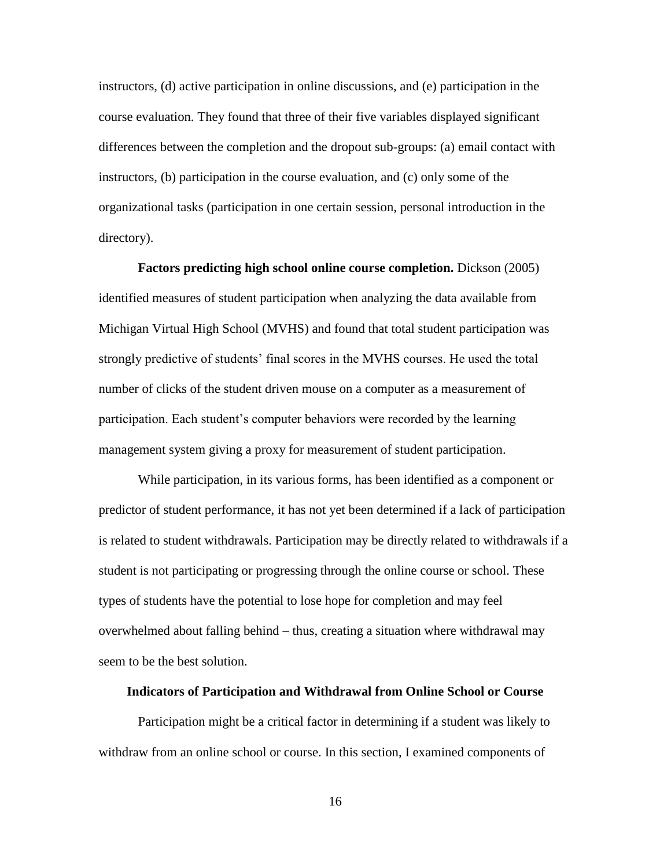instructors, (d) active participation in online discussions, and (e) participation in the course evaluation. They found that three of their five variables displayed significant differences between the completion and the dropout sub-groups: (a) email contact with instructors, (b) participation in the course evaluation, and (c) only some of the organizational tasks (participation in one certain session, personal introduction in the directory).

**Factors predicting high school online course completion.** Dickson (2005) identified measures of student participation when analyzing the data available from Michigan Virtual High School (MVHS) and found that total student participation was strongly predictive of students' final scores in the MVHS courses. He used the total number of clicks of the student driven mouse on a computer as a measurement of participation. Each student's computer behaviors were recorded by the learning management system giving a proxy for measurement of student participation.

While participation, in its various forms, has been identified as a component or predictor of student performance, it has not yet been determined if a lack of participation is related to student withdrawals. Participation may be directly related to withdrawals if a student is not participating or progressing through the online course or school. These types of students have the potential to lose hope for completion and may feel overwhelmed about falling behind – thus, creating a situation where withdrawal may seem to be the best solution.

#### <span id="page-27-0"></span>**Indicators of Participation and Withdrawal from Online School or Course**

Participation might be a critical factor in determining if a student was likely to withdraw from an online school or course. In this section, I examined components of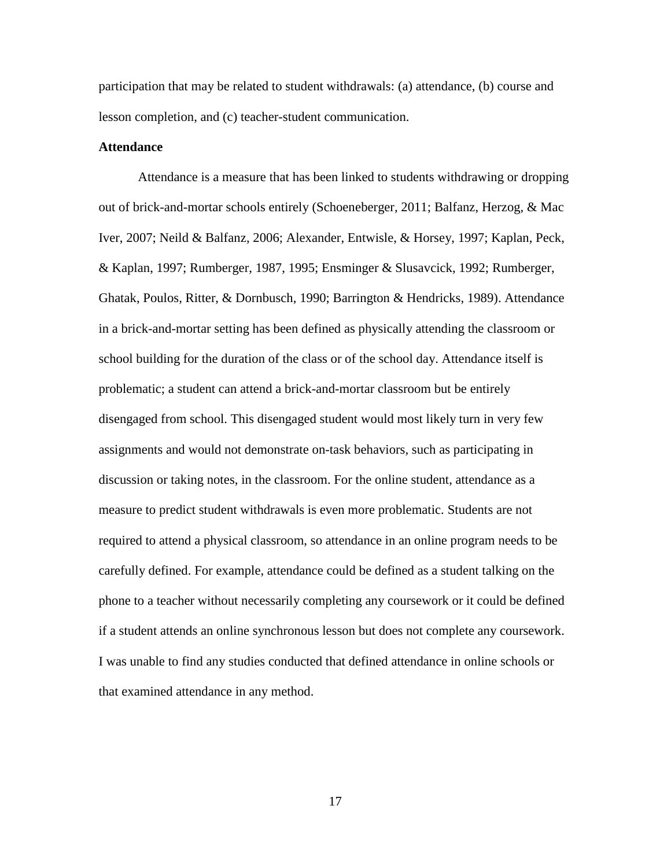participation that may be related to student withdrawals: (a) attendance, (b) course and lesson completion, and (c) teacher-student communication.

#### <span id="page-28-0"></span>**Attendance**

Attendance is a measure that has been linked to students withdrawing or dropping out of brick-and-mortar schools entirely (Schoeneberger, 2011; Balfanz, Herzog, & Mac Iver, 2007; Neild & Balfanz, 2006; Alexander, Entwisle, & Horsey, 1997; Kaplan, Peck, & Kaplan, 1997; Rumberger, 1987, 1995; Ensminger & Slusavcick, 1992; Rumberger, Ghatak, Poulos, Ritter, & Dornbusch, 1990; Barrington & Hendricks, 1989). Attendance in a brick-and-mortar setting has been defined as physically attending the classroom or school building for the duration of the class or of the school day. Attendance itself is problematic; a student can attend a brick-and-mortar classroom but be entirely disengaged from school. This disengaged student would most likely turn in very few assignments and would not demonstrate on-task behaviors, such as participating in discussion or taking notes, in the classroom. For the online student, attendance as a measure to predict student withdrawals is even more problematic. Students are not required to attend a physical classroom, so attendance in an online program needs to be carefully defined. For example, attendance could be defined as a student talking on the phone to a teacher without necessarily completing any coursework or it could be defined if a student attends an online synchronous lesson but does not complete any coursework. I was unable to find any studies conducted that defined attendance in online schools or that examined attendance in any method.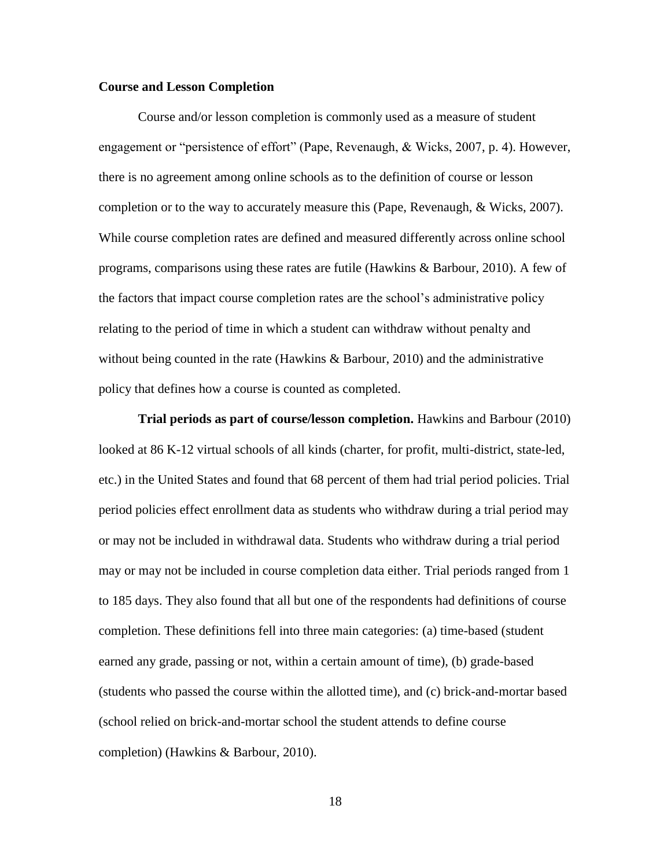#### <span id="page-29-0"></span>**Course and Lesson Completion**

Course and/or lesson completion is commonly used as a measure of student engagement or "persistence of effort" (Pape, Revenaugh, & Wicks, 2007, p. 4). However, there is no agreement among online schools as to the definition of course or lesson completion or to the way to accurately measure this (Pape, Revenaugh, & Wicks, 2007). While course completion rates are defined and measured differently across online school programs, comparisons using these rates are futile (Hawkins & Barbour, 2010). A few of the factors that impact course completion rates are the school's administrative policy relating to the period of time in which a student can withdraw without penalty and without being counted in the rate (Hawkins & Barbour, 2010) and the administrative policy that defines how a course is counted as completed.

**Trial periods as part of course/lesson completion.** Hawkins and Barbour (2010) looked at 86 K-12 virtual schools of all kinds (charter, for profit, multi-district, state-led, etc.) in the United States and found that 68 percent of them had trial period policies. Trial period policies effect enrollment data as students who withdraw during a trial period may or may not be included in withdrawal data. Students who withdraw during a trial period may or may not be included in course completion data either. Trial periods ranged from 1 to 185 days. They also found that all but one of the respondents had definitions of course completion. These definitions fell into three main categories: (a) time-based (student earned any grade, passing or not, within a certain amount of time), (b) grade-based (students who passed the course within the allotted time), and (c) brick-and-mortar based (school relied on brick-and-mortar school the student attends to define course completion) (Hawkins & Barbour, 2010).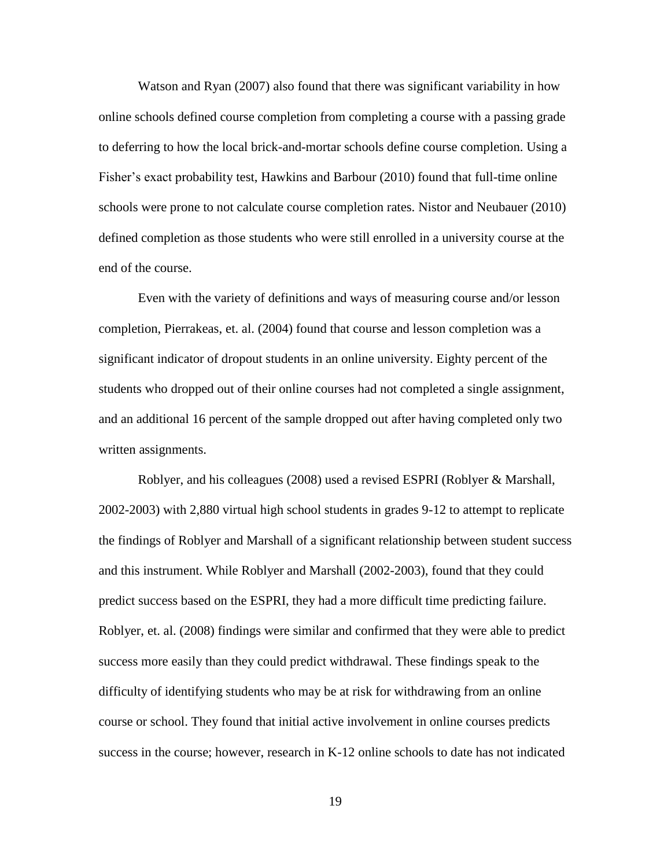Watson and Ryan (2007) also found that there was significant variability in how online schools defined course completion from completing a course with a passing grade to deferring to how the local brick-and-mortar schools define course completion. Using a Fisher's exact probability test, Hawkins and Barbour (2010) found that full-time online schools were prone to not calculate course completion rates. Nistor and Neubauer (2010) defined completion as those students who were still enrolled in a university course at the end of the course.

Even with the variety of definitions and ways of measuring course and/or lesson completion, Pierrakeas, et. al. (2004) found that course and lesson completion was a significant indicator of dropout students in an online university. Eighty percent of the students who dropped out of their online courses had not completed a single assignment, and an additional 16 percent of the sample dropped out after having completed only two written assignments.

Roblyer, and his colleagues (2008) used a revised ESPRI (Roblyer & Marshall, 2002-2003) with 2,880 virtual high school students in grades 9-12 to attempt to replicate the findings of Roblyer and Marshall of a significant relationship between student success and this instrument. While Roblyer and Marshall (2002-2003), found that they could predict success based on the ESPRI, they had a more difficult time predicting failure. Roblyer, et. al. (2008) findings were similar and confirmed that they were able to predict success more easily than they could predict withdrawal. These findings speak to the difficulty of identifying students who may be at risk for withdrawing from an online course or school. They found that initial active involvement in online courses predicts success in the course; however, research in K-12 online schools to date has not indicated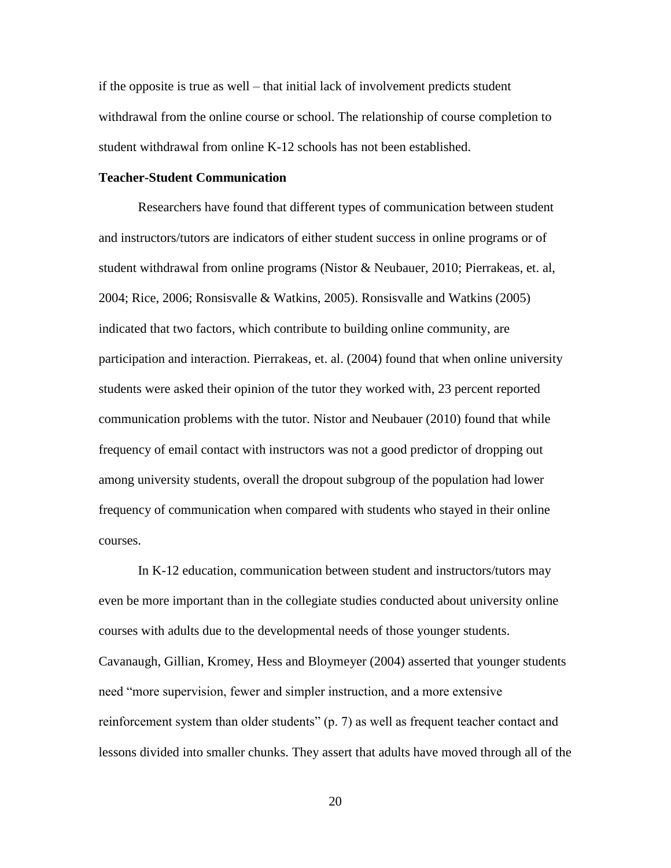if the opposite is true as well – that initial lack of involvement predicts student withdrawal from the online course or school. The relationship of course completion to student withdrawal from online K-12 schools has not been established.

#### <span id="page-31-0"></span>**Teacher-Student Communication**

Researchers have found that different types of communication between student and instructors/tutors are indicators of either student success in online programs or of student withdrawal from online programs (Nistor & Neubauer, 2010; Pierrakeas, et. al, 2004; Rice, 2006; Ronsisvalle & Watkins, 2005). Ronsisvalle and Watkins (2005) indicated that two factors, which contribute to building online community, are participation and interaction. Pierrakeas, et. al. (2004) found that when online university students were asked their opinion of the tutor they worked with, 23 percent reported communication problems with the tutor. Nistor and Neubauer (2010) found that while frequency of email contact with instructors was not a good predictor of dropping out among university students, overall the dropout subgroup of the population had lower frequency of communication when compared with students who stayed in their online courses.

In K-12 education, communication between student and instructors/tutors may even be more important than in the collegiate studies conducted about university online courses with adults due to the developmental needs of those younger students. Cavanaugh, Gillian, Kromey, Hess and Bloymeyer (2004) asserted that younger students need "more supervision, fewer and simpler instruction, and a more extensive reinforcement system than older students" (p. 7) as well as frequent teacher contact and lessons divided into smaller chunks. They assert that adults have moved through all of the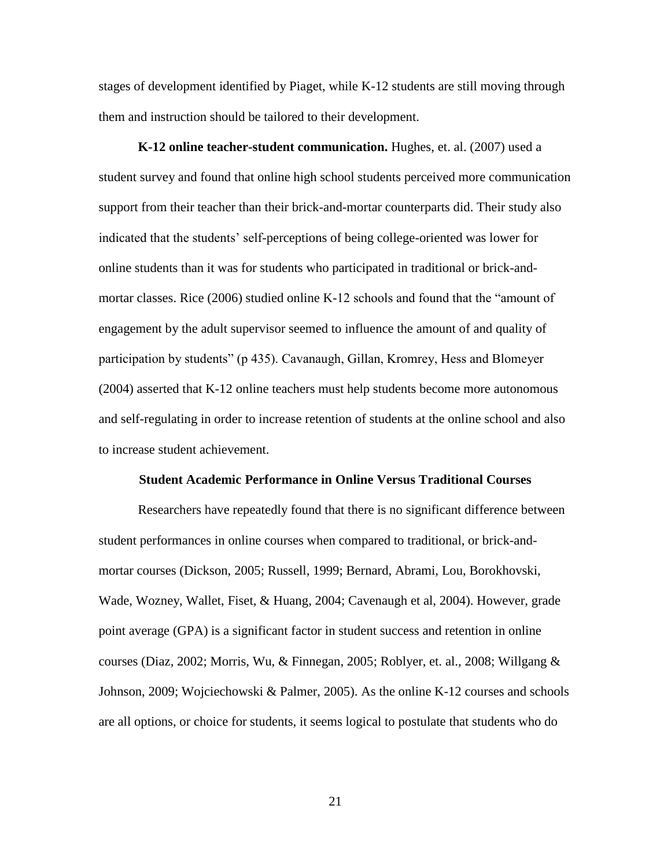stages of development identified by Piaget, while K-12 students are still moving through them and instruction should be tailored to their development.

**K-12 online teacher-student communication.** Hughes, et. al. (2007) used a student survey and found that online high school students perceived more communication support from their teacher than their brick-and-mortar counterparts did. Their study also indicated that the students' self-perceptions of being college-oriented was lower for online students than it was for students who participated in traditional or brick-andmortar classes. Rice (2006) studied online K-12 schools and found that the "amount of engagement by the adult supervisor seemed to influence the amount of and quality of participation by students" (p 435). Cavanaugh, Gillan, Kromrey, Hess and Blomeyer (2004) asserted that K-12 online teachers must help students become more autonomous and self-regulating in order to increase retention of students at the online school and also to increase student achievement.

#### **Student Academic Performance in Online Versus Traditional Courses**

<span id="page-32-0"></span>Researchers have repeatedly found that there is no significant difference between student performances in online courses when compared to traditional, or brick-andmortar courses (Dickson, 2005; Russell, 1999; Bernard, Abrami, Lou, Borokhovski, Wade, Wozney, Wallet, Fiset, & Huang, 2004; Cavenaugh et al, 2004). However, grade point average (GPA) is a significant factor in student success and retention in online courses (Diaz, 2002; Morris, Wu, & Finnegan, 2005; Roblyer, et. al., 2008; Willgang & Johnson, 2009; Wojciechowski & Palmer, 2005). As the online K-12 courses and schools are all options, or choice for students, it seems logical to postulate that students who do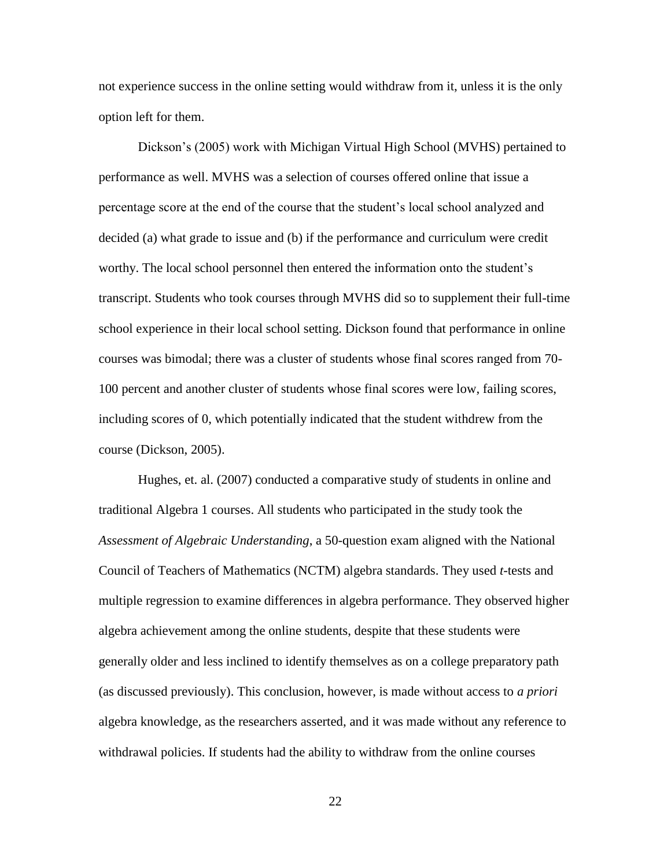not experience success in the online setting would withdraw from it, unless it is the only option left for them.

Dickson's (2005) work with Michigan Virtual High School (MVHS) pertained to performance as well. MVHS was a selection of courses offered online that issue a percentage score at the end of the course that the student's local school analyzed and decided (a) what grade to issue and (b) if the performance and curriculum were credit worthy. The local school personnel then entered the information onto the student's transcript. Students who took courses through MVHS did so to supplement their full-time school experience in their local school setting. Dickson found that performance in online courses was bimodal; there was a cluster of students whose final scores ranged from 70- 100 percent and another cluster of students whose final scores were low, failing scores, including scores of 0, which potentially indicated that the student withdrew from the course (Dickson, 2005).

Hughes, et. al. (2007) conducted a comparative study of students in online and traditional Algebra 1 courses. All students who participated in the study took the *Assessment of Algebraic Understanding*, a 50-question exam aligned with the National Council of Teachers of Mathematics (NCTM) algebra standards. They used *t*-tests and multiple regression to examine differences in algebra performance. They observed higher algebra achievement among the online students, despite that these students were generally older and less inclined to identify themselves as on a college preparatory path (as discussed previously). This conclusion, however, is made without access to *a priori* algebra knowledge, as the researchers asserted, and it was made without any reference to withdrawal policies. If students had the ability to withdraw from the online courses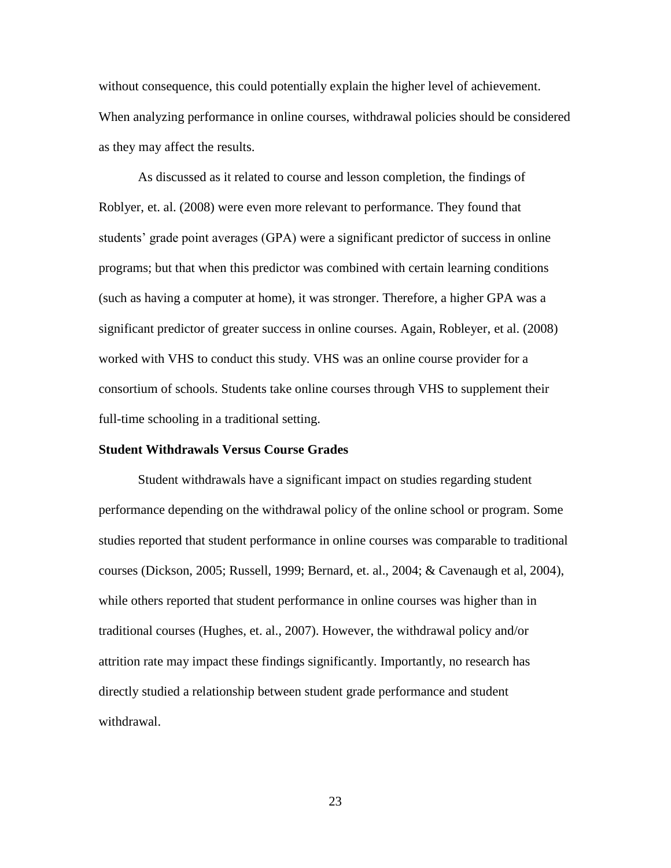without consequence, this could potentially explain the higher level of achievement. When analyzing performance in online courses, withdrawal policies should be considered as they may affect the results.

As discussed as it related to course and lesson completion, the findings of Roblyer, et. al. (2008) were even more relevant to performance. They found that students' grade point averages (GPA) were a significant predictor of success in online programs; but that when this predictor was combined with certain learning conditions (such as having a computer at home), it was stronger. Therefore, a higher GPA was a significant predictor of greater success in online courses. Again, Robleyer, et al. (2008) worked with VHS to conduct this study. VHS was an online course provider for a consortium of schools. Students take online courses through VHS to supplement their full-time schooling in a traditional setting.

#### <span id="page-34-0"></span>**Student Withdrawals Versus Course Grades**

Student withdrawals have a significant impact on studies regarding student performance depending on the withdrawal policy of the online school or program. Some studies reported that student performance in online courses was comparable to traditional courses (Dickson, 2005; Russell, 1999; Bernard, et. al., 2004; & Cavenaugh et al, 2004), while others reported that student performance in online courses was higher than in traditional courses (Hughes, et. al., 2007). However, the withdrawal policy and/or attrition rate may impact these findings significantly. Importantly, no research has directly studied a relationship between student grade performance and student withdrawal.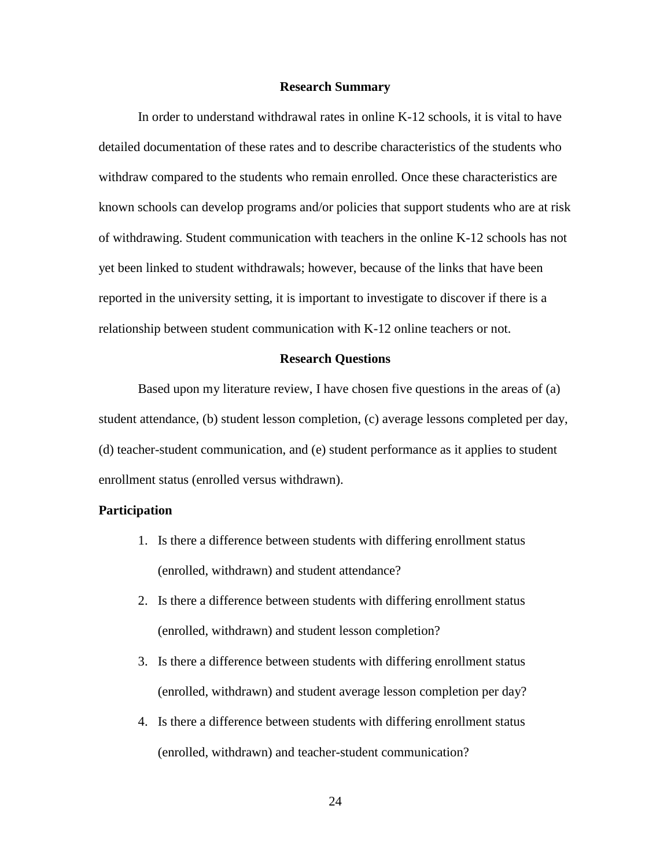#### **Research Summary**

<span id="page-35-0"></span>In order to understand withdrawal rates in online K-12 schools, it is vital to have detailed documentation of these rates and to describe characteristics of the students who withdraw compared to the students who remain enrolled. Once these characteristics are known schools can develop programs and/or policies that support students who are at risk of withdrawing. Student communication with teachers in the online K-12 schools has not yet been linked to student withdrawals; however, because of the links that have been reported in the university setting, it is important to investigate to discover if there is a relationship between student communication with K-12 online teachers or not.

#### **Research Questions**

<span id="page-35-1"></span>Based upon my literature review, I have chosen five questions in the areas of (a) student attendance, (b) student lesson completion, (c) average lessons completed per day, (d) teacher-student communication, and (e) student performance as it applies to student enrollment status (enrolled versus withdrawn).

#### <span id="page-35-2"></span>**Participation**

- 1. Is there a difference between students with differing enrollment status (enrolled, withdrawn) and student attendance?
- 2. Is there a difference between students with differing enrollment status (enrolled, withdrawn) and student lesson completion?
- 3. Is there a difference between students with differing enrollment status (enrolled, withdrawn) and student average lesson completion per day?
- 4. Is there a difference between students with differing enrollment status (enrolled, withdrawn) and teacher-student communication?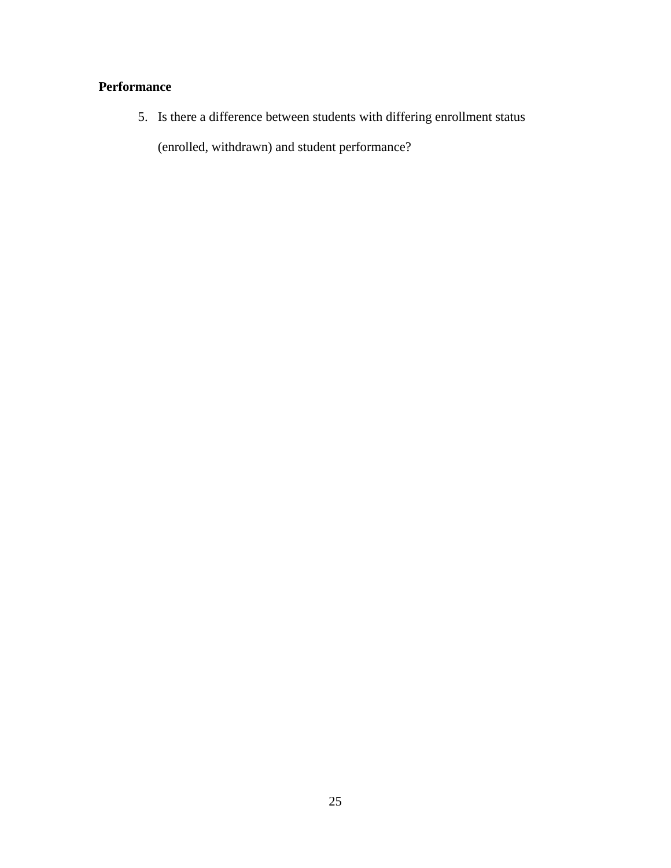# **Performance**

5. Is there a difference between students with differing enrollment status

(enrolled, withdrawn) and student performance?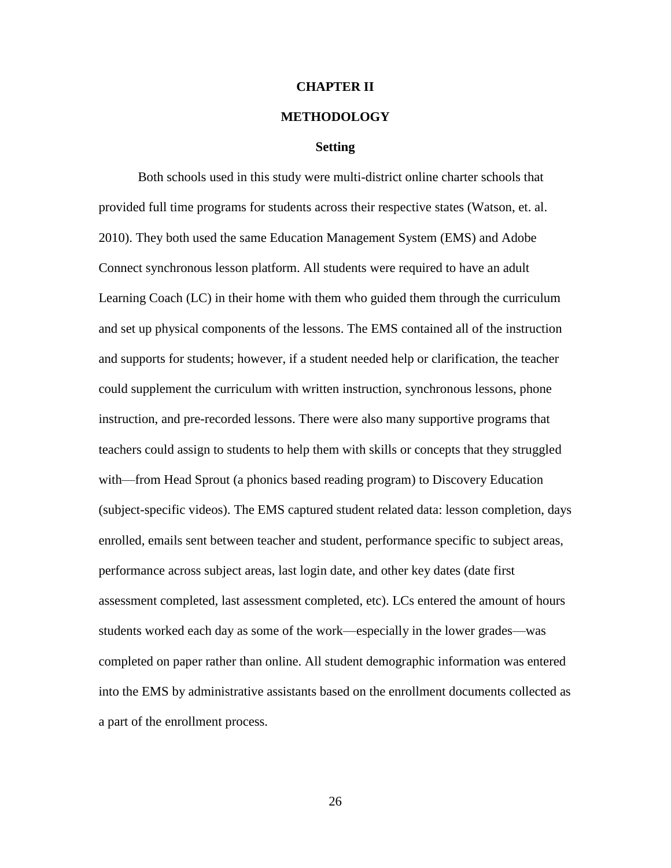# **CHAPTER II**

# **METHODOLOGY**

### **Setting**

Both schools used in this study were multi-district online charter schools that provided full time programs for students across their respective states (Watson, et. al. 2010). They both used the same Education Management System (EMS) and Adobe Connect synchronous lesson platform. All students were required to have an adult Learning Coach (LC) in their home with them who guided them through the curriculum and set up physical components of the lessons. The EMS contained all of the instruction and supports for students; however, if a student needed help or clarification, the teacher could supplement the curriculum with written instruction, synchronous lessons, phone instruction, and pre-recorded lessons. There were also many supportive programs that teachers could assign to students to help them with skills or concepts that they struggled with—from Head Sprout (a phonics based reading program) to Discovery Education (subject-specific videos). The EMS captured student related data: lesson completion, days enrolled, emails sent between teacher and student, performance specific to subject areas, performance across subject areas, last login date, and other key dates (date first assessment completed, last assessment completed, etc). LCs entered the amount of hours students worked each day as some of the work—especially in the lower grades—was completed on paper rather than online. All student demographic information was entered into the EMS by administrative assistants based on the enrollment documents collected as a part of the enrollment process.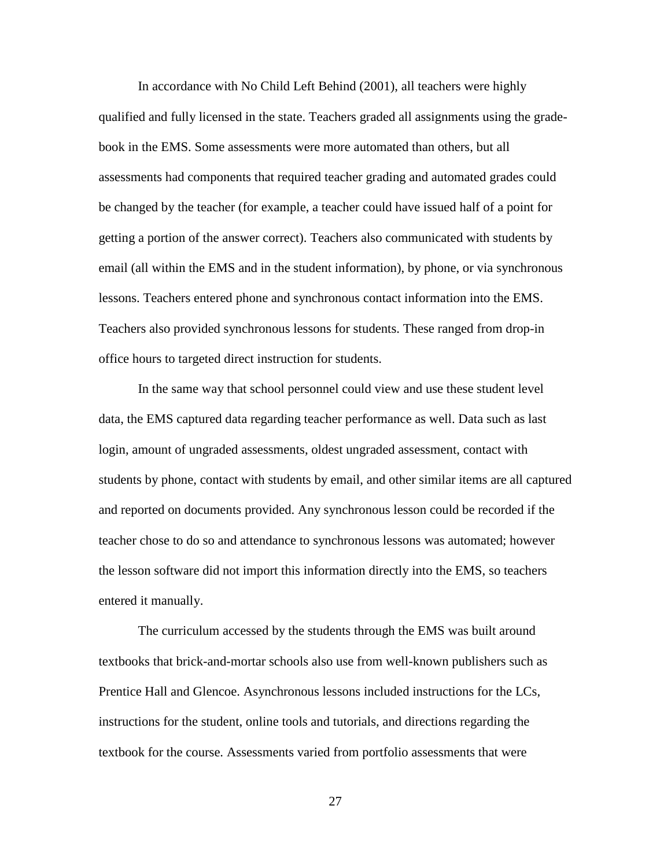In accordance with No Child Left Behind (2001), all teachers were highly qualified and fully licensed in the state. Teachers graded all assignments using the gradebook in the EMS. Some assessments were more automated than others, but all assessments had components that required teacher grading and automated grades could be changed by the teacher (for example, a teacher could have issued half of a point for getting a portion of the answer correct). Teachers also communicated with students by email (all within the EMS and in the student information), by phone, or via synchronous lessons. Teachers entered phone and synchronous contact information into the EMS. Teachers also provided synchronous lessons for students. These ranged from drop-in office hours to targeted direct instruction for students.

In the same way that school personnel could view and use these student level data, the EMS captured data regarding teacher performance as well. Data such as last login, amount of ungraded assessments, oldest ungraded assessment, contact with students by phone, contact with students by email, and other similar items are all captured and reported on documents provided. Any synchronous lesson could be recorded if the teacher chose to do so and attendance to synchronous lessons was automated; however the lesson software did not import this information directly into the EMS, so teachers entered it manually.

The curriculum accessed by the students through the EMS was built around textbooks that brick-and-mortar schools also use from well-known publishers such as Prentice Hall and Glencoe. Asynchronous lessons included instructions for the LCs, instructions for the student, online tools and tutorials, and directions regarding the textbook for the course. Assessments varied from portfolio assessments that were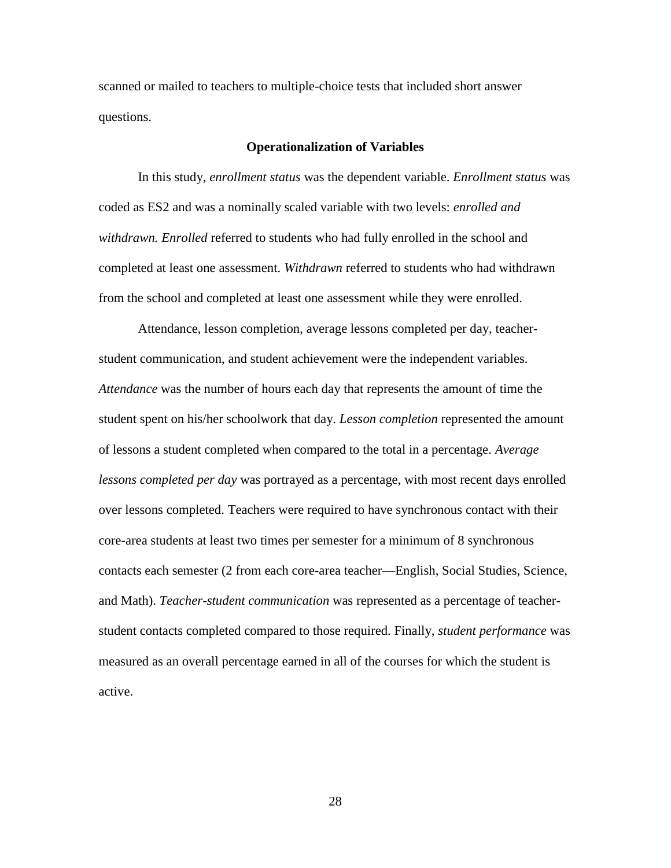scanned or mailed to teachers to multiple-choice tests that included short answer questions.

## **Operationalization of Variables**

In this study, *enrollment status* was the dependent variable. *Enrollment status* was coded as ES2 and was a nominally scaled variable with two levels: *enrolled and withdrawn. Enrolled* referred to students who had fully enrolled in the school and completed at least one assessment. *Withdrawn* referred to students who had withdrawn from the school and completed at least one assessment while they were enrolled.

Attendance, lesson completion, average lessons completed per day, teacherstudent communication, and student achievement were the independent variables. *Attendance* was the number of hours each day that represents the amount of time the student spent on his/her schoolwork that day. *Lesson completion* represented the amount of lessons a student completed when compared to the total in a percentage. *Average lessons completed per day* was portrayed as a percentage, with most recent days enrolled over lessons completed. Teachers were required to have synchronous contact with their core-area students at least two times per semester for a minimum of 8 synchronous contacts each semester (2 from each core-area teacher—English, Social Studies, Science, and Math). *Teacher-student communication* was represented as a percentage of teacherstudent contacts completed compared to those required. Finally, *student performance* was measured as an overall percentage earned in all of the courses for which the student is active.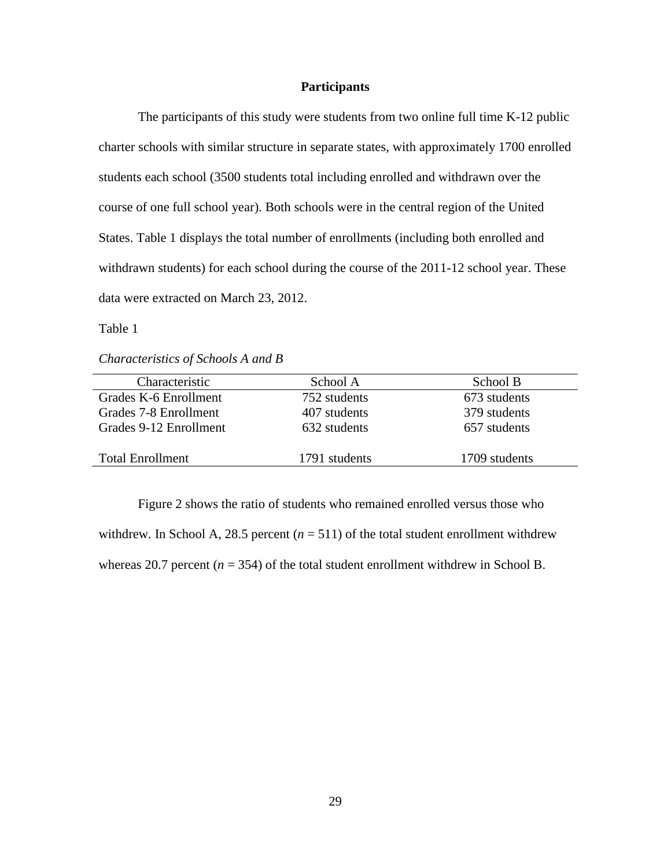# **Participants**

The participants of this study were students from two online full time K-12 public charter schools with similar structure in separate states, with approximately 1700 enrolled students each school (3500 students total including enrolled and withdrawn over the course of one full school year). Both schools were in the central region of the United States. Table 1 displays the total number of enrollments (including both enrolled and withdrawn students) for each school during the course of the 2011-12 school year. These data were extracted on March 23, 2012.

Table 1

*Characteristics of Schools A and B*

| Characteristic          | School A      | School B      |
|-------------------------|---------------|---------------|
| Grades K-6 Enrollment   | 752 students  | 673 students  |
| Grades 7-8 Enrollment   | 407 students  | 379 students  |
| Grades 9-12 Enrollment  | 632 students  | 657 students  |
|                         |               |               |
| <b>Total Enrollment</b> | 1791 students | 1709 students |

Figure 2 shows the ratio of students who remained enrolled versus those who withdrew. In School A, 28.5 percent  $(n = 511)$  of the total student enrollment withdrew whereas 20.7 percent  $(n = 354)$  of the total student enrollment withdrew in School B.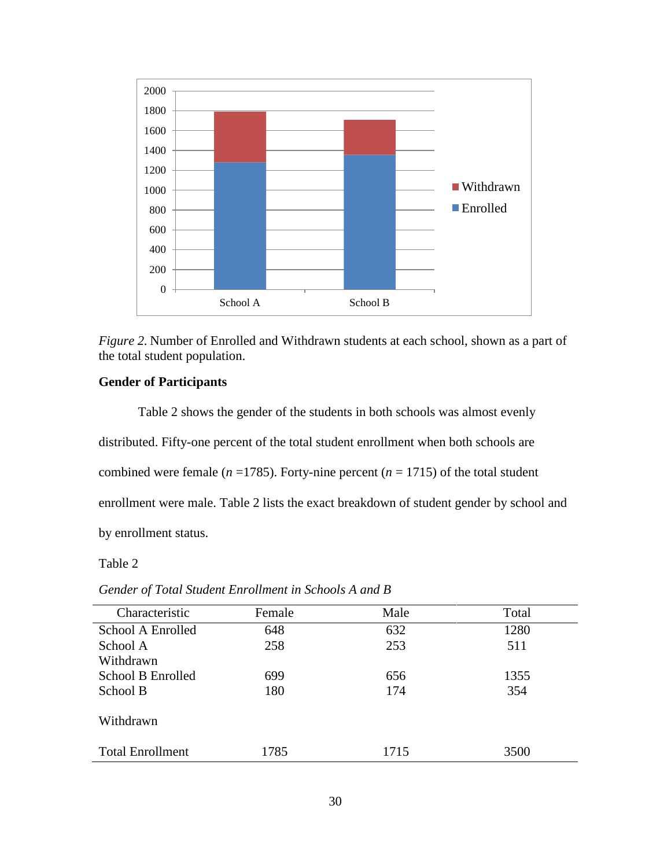



# **Gender of Participants**

Table 2 shows the gender of the students in both schools was almost evenly distributed. Fifty-one percent of the total student enrollment when both schools are combined were female ( $n = 1785$ ). Forty-nine percent ( $n = 1715$ ) of the total student enrollment were male. Table 2 lists the exact breakdown of student gender by school and by enrollment status.

# Table 2

| Characteristic          | Female | Male | Total |
|-------------------------|--------|------|-------|
| School A Enrolled       | 648    | 632  | 1280  |
| School A                | 258    | 253  | 511   |
| Withdrawn               |        |      |       |
| School B Enrolled       | 699    | 656  | 1355  |
| School B                | 180    | 174  | 354   |
|                         |        |      |       |
| Withdrawn               |        |      |       |
|                         |        |      |       |
| <b>Total Enrollment</b> | 1785   | 1715 | 3500  |

*Gender of Total Student Enrollment in Schools A and B*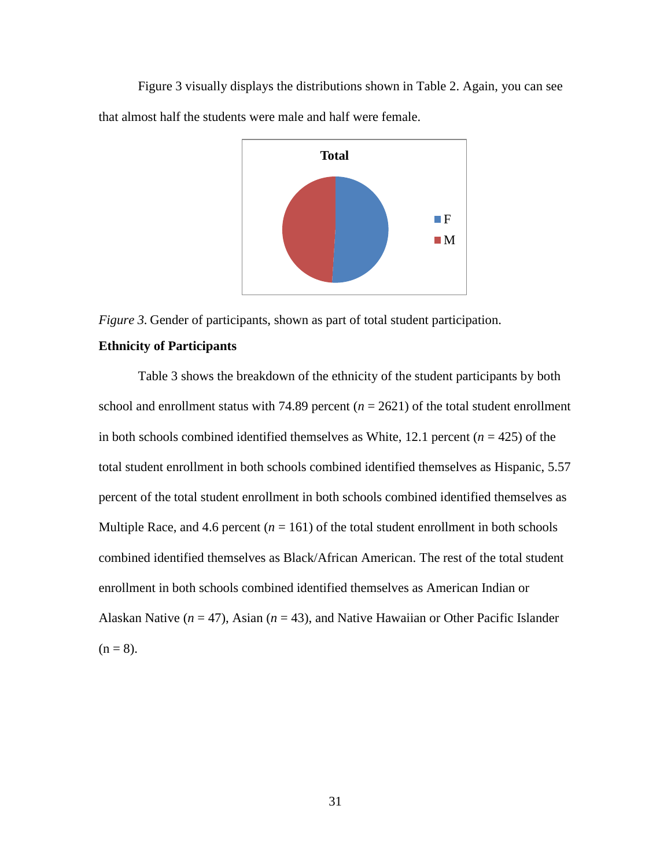Figure 3 visually displays the distributions shown in Table 2. Again, you can see that almost half the students were male and half were female.



*Figure 3.* Gender of participants, shown as part of total student participation.

# **Ethnicity of Participants**

Table 3 shows the breakdown of the ethnicity of the student participants by both school and enrollment status with 74.89 percent  $(n = 2621)$  of the total student enrollment in both schools combined identified themselves as White,  $12.1$  percent ( $n = 425$ ) of the total student enrollment in both schools combined identified themselves as Hispanic, 5.57 percent of the total student enrollment in both schools combined identified themselves as Multiple Race, and 4.6 percent  $(n = 161)$  of the total student enrollment in both schools combined identified themselves as Black/African American. The rest of the total student enrollment in both schools combined identified themselves as American Indian or Alaskan Native ( $n = 47$ ), Asian ( $n = 43$ ), and Native Hawaiian or Other Pacific Islander  $(n = 8)$ .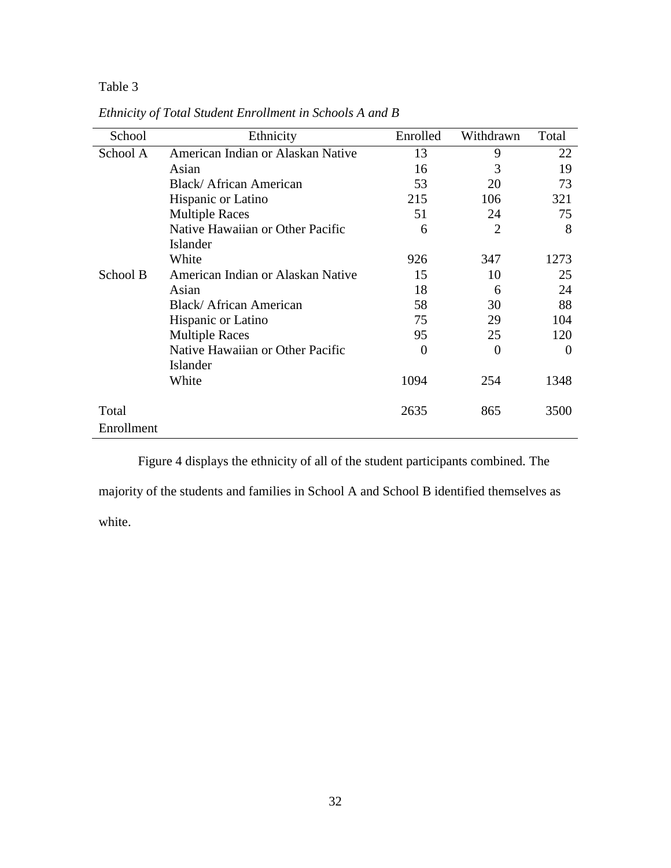# Table 3

| School     | Ethnicity                         | Enrolled | Withdrawn      | Total    |
|------------|-----------------------------------|----------|----------------|----------|
| School A   | American Indian or Alaskan Native | 13       | 9              | 22       |
|            | Asian                             | 16       | 3              | 19       |
|            | Black/African American            | 53       | 20             | 73       |
|            | Hispanic or Latino                | 215      | 106            | 321      |
|            | <b>Multiple Races</b>             | 51       | 24             | 75       |
|            | Native Hawaiian or Other Pacific  | 6        | $\overline{2}$ | 8        |
|            | Islander                          |          |                |          |
|            | White                             | 926      | 347            | 1273     |
| School B   | American Indian or Alaskan Native | 15       | 10             | 25       |
|            | Asian                             | 18       | 6              | 24       |
|            | Black/African American            | 58       | 30             | 88       |
|            | Hispanic or Latino                | 75       | 29             | 104      |
|            | <b>Multiple Races</b>             | 95       | 25             | 120      |
|            | Native Hawaiian or Other Pacific  | $\Omega$ | $\overline{0}$ | $\Omega$ |
|            | Islander                          |          |                |          |
|            | White                             | 1094     | 254            | 1348     |
| Total      |                                   | 2635     | 865            | 3500     |
| Enrollment |                                   |          |                |          |
|            |                                   |          |                |          |

*Ethnicity of Total Student Enrollment in Schools A and B*

Figure 4 displays the ethnicity of all of the student participants combined. The

majority of the students and families in School A and School B identified themselves as

white.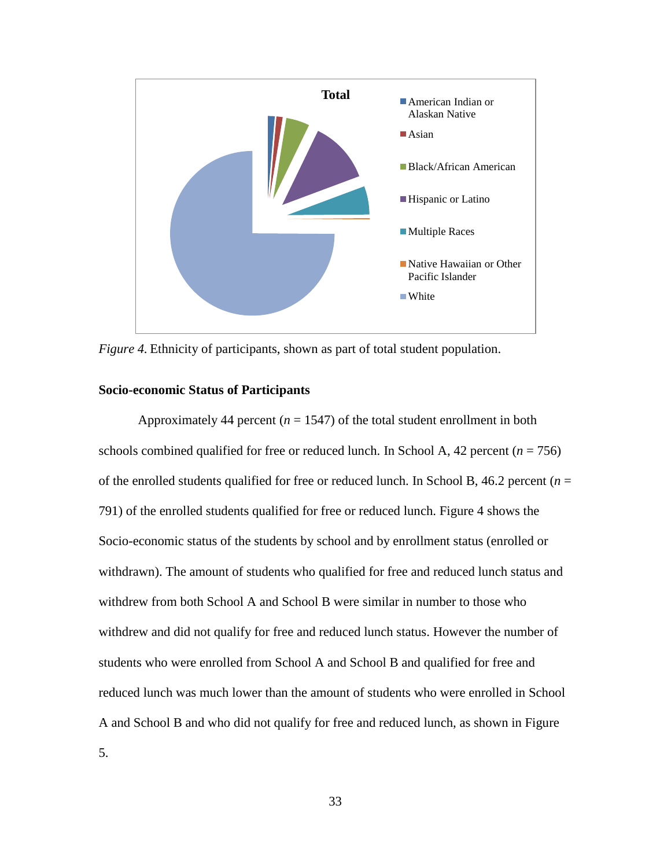

*Figure 4.* Ethnicity of participants, shown as part of total student population.

## **Socio-economic Status of Participants**

Approximately 44 percent ( $n = 1547$ ) of the total student enrollment in both schools combined qualified for free or reduced lunch. In School A, 42 percent  $(n = 756)$ of the enrolled students qualified for free or reduced lunch. In School B, 46.2 percent (*n* = 791) of the enrolled students qualified for free or reduced lunch. Figure 4 shows the Socio-economic status of the students by school and by enrollment status (enrolled or withdrawn). The amount of students who qualified for free and reduced lunch status and withdrew from both School A and School B were similar in number to those who withdrew and did not qualify for free and reduced lunch status. However the number of students who were enrolled from School A and School B and qualified for free and reduced lunch was much lower than the amount of students who were enrolled in School A and School B and who did not qualify for free and reduced lunch, as shown in Figure 5.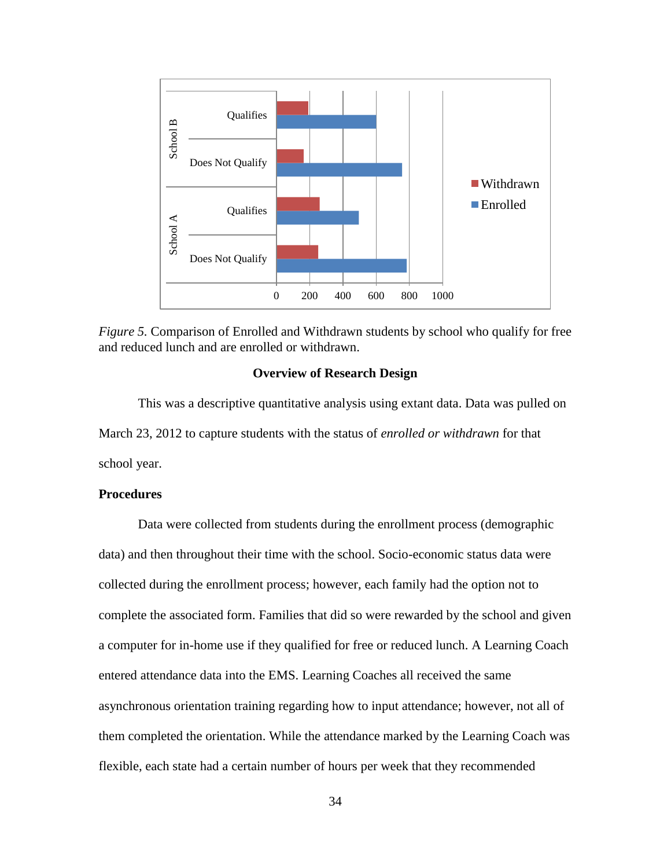

*Figure 5.* Comparison of Enrolled and Withdrawn students by school who qualify for free and reduced lunch and are enrolled or withdrawn.

# **Overview of Research Design**

This was a descriptive quantitative analysis using extant data. Data was pulled on March 23, 2012 to capture students with the status of *enrolled or withdrawn* for that school year.

# **Procedures**

Data were collected from students during the enrollment process (demographic data) and then throughout their time with the school. Socio-economic status data were collected during the enrollment process; however, each family had the option not to complete the associated form. Families that did so were rewarded by the school and given a computer for in-home use if they qualified for free or reduced lunch. A Learning Coach entered attendance data into the EMS. Learning Coaches all received the same asynchronous orientation training regarding how to input attendance; however, not all of them completed the orientation. While the attendance marked by the Learning Coach was flexible, each state had a certain number of hours per week that they recommended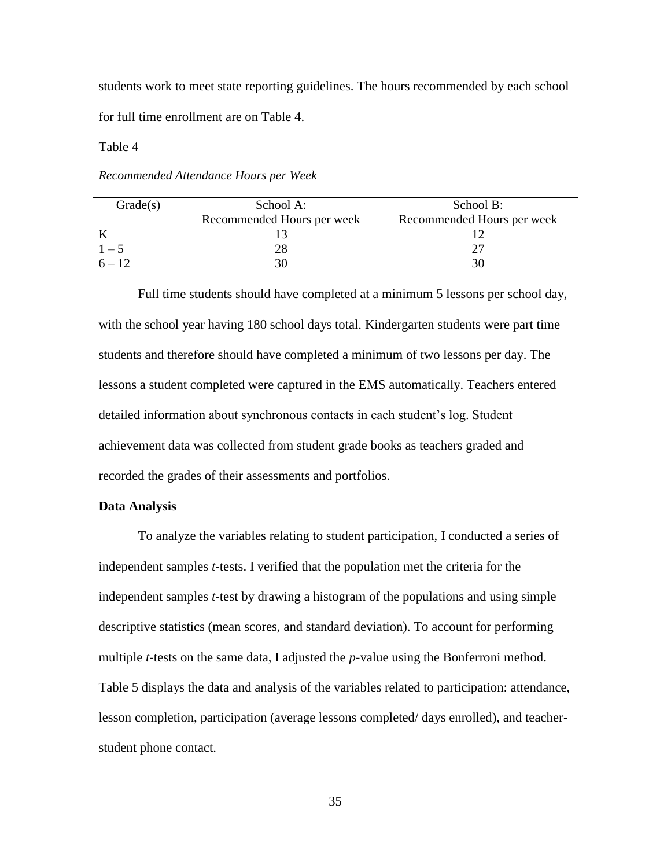students work to meet state reporting guidelines. The hours recommended by each school for full time enrollment are on Table 4.

Table 4

*Recommended Attendance Hours per Week*

| Grade(s) | School A:                  | School B:                  |
|----------|----------------------------|----------------------------|
|          | Recommended Hours per week | Recommended Hours per week |
|          |                            |                            |
| $1 - 5$  |                            |                            |
|          |                            |                            |

Full time students should have completed at a minimum 5 lessons per school day, with the school year having 180 school days total. Kindergarten students were part time students and therefore should have completed a minimum of two lessons per day. The lessons a student completed were captured in the EMS automatically. Teachers entered detailed information about synchronous contacts in each student's log. Student achievement data was collected from student grade books as teachers graded and recorded the grades of their assessments and portfolios.

## **Data Analysis**

To analyze the variables relating to student participation, I conducted a series of independent samples *t*-tests. I verified that the population met the criteria for the independent samples *t*-test by drawing a histogram of the populations and using simple descriptive statistics (mean scores, and standard deviation). To account for performing multiple *t*-tests on the same data, I adjusted the *p*-value using the Bonferroni method. Table 5 displays the data and analysis of the variables related to participation: attendance, lesson completion, participation (average lessons completed/ days enrolled), and teacherstudent phone contact.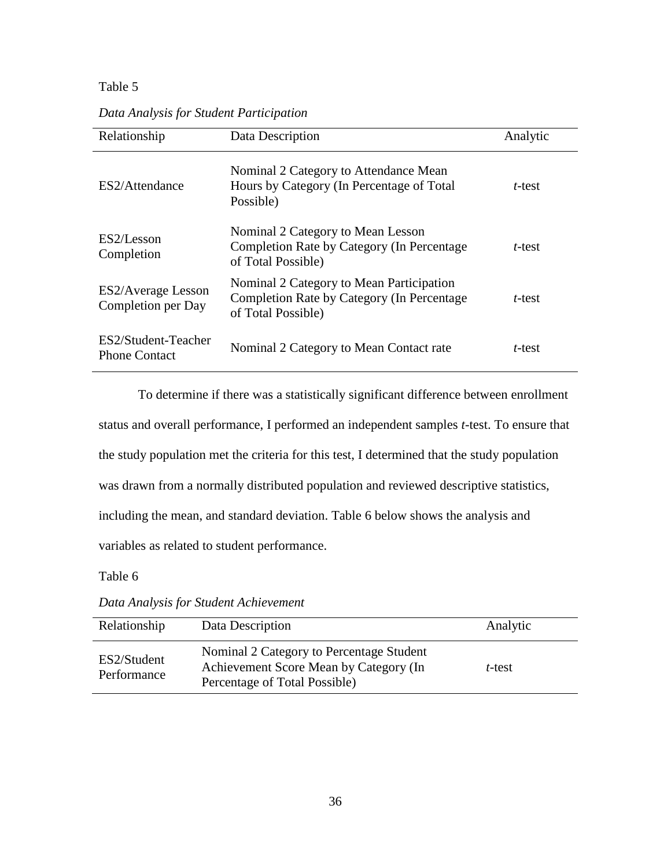# Table 5

| Relationship                                    | Data Description                                                                                              | Analytic |
|-------------------------------------------------|---------------------------------------------------------------------------------------------------------------|----------|
| ES2/Attendance                                  | Nominal 2 Category to Attendance Mean<br>Hours by Category (In Percentage of Total<br>Possible)               | t-test   |
| ES2/Lesson<br>Completion                        | Nominal 2 Category to Mean Lesson<br>Completion Rate by Category (In Percentage)<br>of Total Possible)        | t-test   |
| <b>ES2/Average Lesson</b><br>Completion per Day | Nominal 2 Category to Mean Participation<br>Completion Rate by Category (In Percentage)<br>of Total Possible) | t-test   |
| ES2/Student-Teacher<br><b>Phone Contact</b>     | Nominal 2 Category to Mean Contact rate                                                                       | t-test   |

*Data Analysis for Student Participation*

To determine if there was a statistically significant difference between enrollment status and overall performance, I performed an independent samples *t*-test. To ensure that the study population met the criteria for this test, I determined that the study population was drawn from a normally distributed population and reviewed descriptive statistics, including the mean, and standard deviation. Table 6 below shows the analysis and variables as related to student performance.

Table 6

*Data Analysis for Student Achievement*

| Relationship               | Data Description                                                                                                    | Analytic |
|----------------------------|---------------------------------------------------------------------------------------------------------------------|----------|
| ES2/Student<br>Performance | Nominal 2 Category to Percentage Student<br>Achievement Score Mean by Category (In<br>Percentage of Total Possible) | t-test   |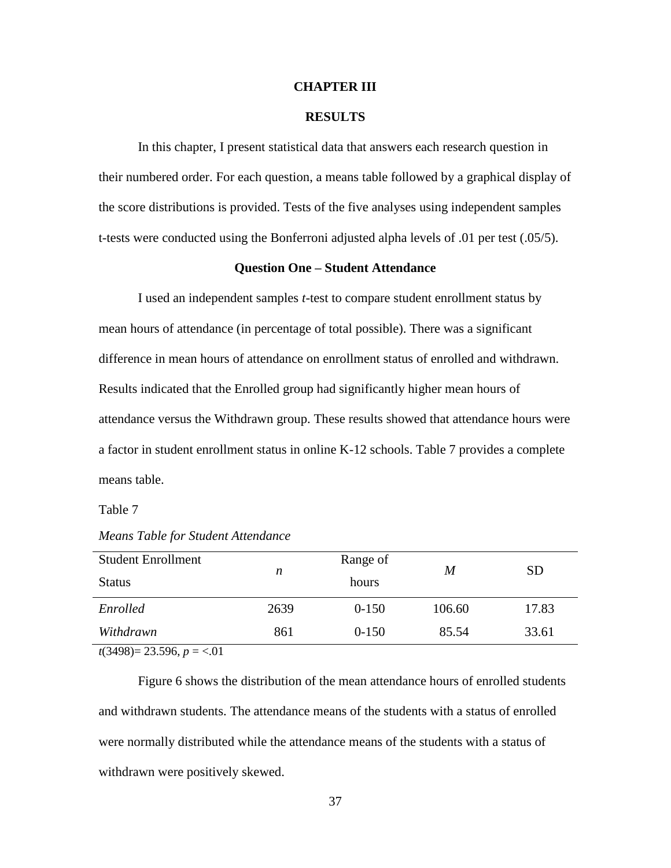## **CHAPTER III**

# **RESULTS**

In this chapter, I present statistical data that answers each research question in their numbered order. For each question, a means table followed by a graphical display of the score distributions is provided. Tests of the five analyses using independent samples t-tests were conducted using the Bonferroni adjusted alpha levels of .01 per test (.05/5).

## **Question One – Student Attendance**

I used an independent samples *t*-test to compare student enrollment status by mean hours of attendance (in percentage of total possible). There was a significant difference in mean hours of attendance on enrollment status of enrolled and withdrawn. Results indicated that the Enrolled group had significantly higher mean hours of attendance versus the Withdrawn group. These results showed that attendance hours were a factor in student enrollment status in online K-12 schools. Table 7 provides a complete means table.

Table 7

| <b>Student Enrollment</b><br><b>Status</b> | n    | Range of<br>hours | M      | <b>SD</b> |
|--------------------------------------------|------|-------------------|--------|-----------|
| Enrolled                                   | 2639 | $0-150$           | 106.60 | 17.83     |
| Withdrawn                                  | 861  | $0-150$           | 85.54  | 33.61     |
|                                            |      |                   |        |           |

*Means Table for Student Attendance*

*t*(3498)= 23.596, *p* = <.01

Figure 6 shows the distribution of the mean attendance hours of enrolled students and withdrawn students. The attendance means of the students with a status of enrolled were normally distributed while the attendance means of the students with a status of withdrawn were positively skewed.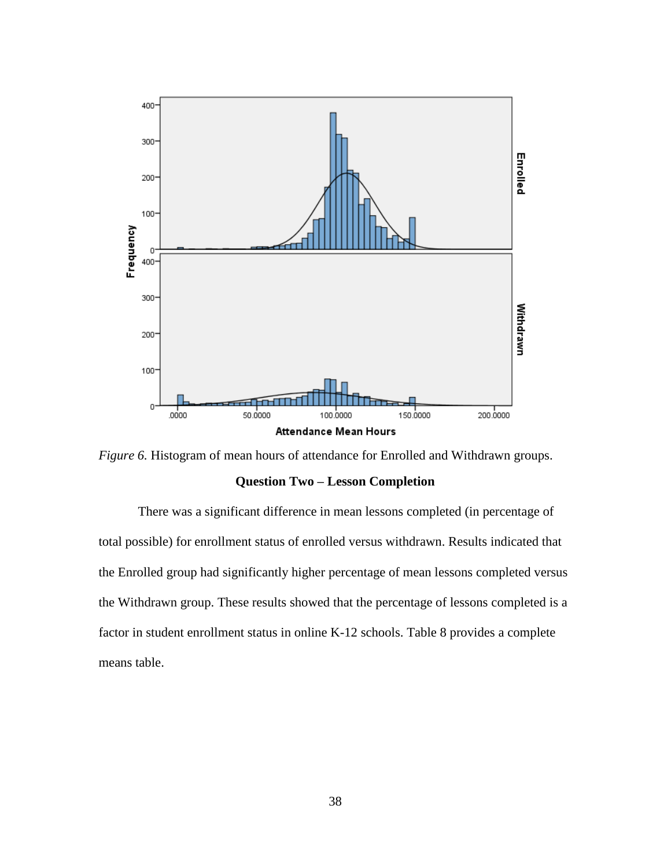



There was a significant difference in mean lessons completed (in percentage of total possible) for enrollment status of enrolled versus withdrawn. Results indicated that the Enrolled group had significantly higher percentage of mean lessons completed versus the Withdrawn group. These results showed that the percentage of lessons completed is a factor in student enrollment status in online K-12 schools. Table 8 provides a complete means table.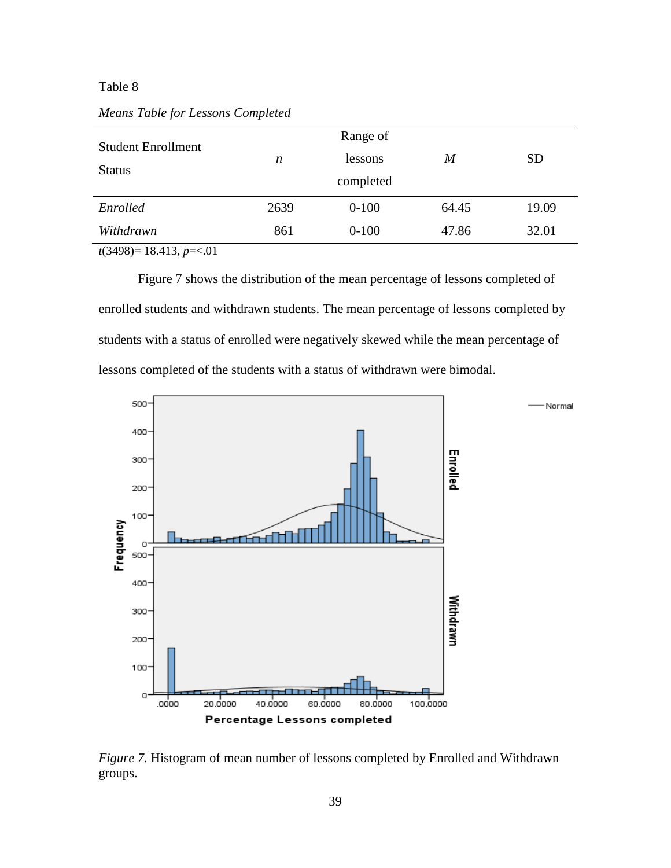# Table 8

| <b>Student Enrollment</b><br><b>Status</b> | n    | Range of<br>lessons<br>completed | M     | <b>SD</b> |
|--------------------------------------------|------|----------------------------------|-------|-----------|
| Enrolled                                   | 2639 | $0-100$                          | 64.45 | 19.09     |
| Withdrawn                                  | 861  | $0 - 100$                        | 47.86 | 32.01     |

*Means Table for Lessons Completed*

*t*(3498)= 18.413, *p*=<.01

Figure 7 shows the distribution of the mean percentage of lessons completed of enrolled students and withdrawn students. The mean percentage of lessons completed by students with a status of enrolled were negatively skewed while the mean percentage of lessons completed of the students with a status of withdrawn were bimodal.



*Figure 7.* Histogram of mean number of lessons completed by Enrolled and Withdrawn groups.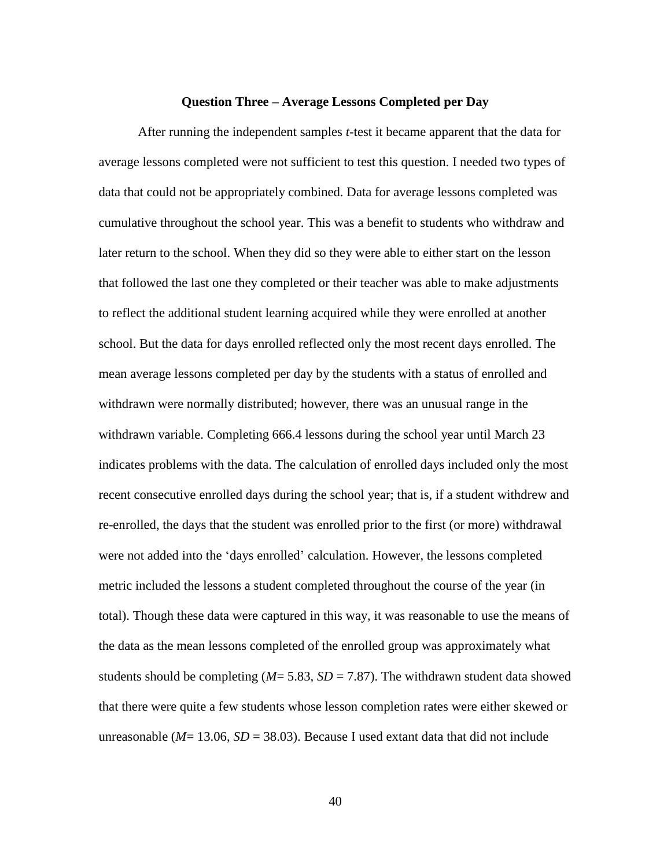### **Question Three – Average Lessons Completed per Day**

After running the independent samples *t*-test it became apparent that the data for average lessons completed were not sufficient to test this question. I needed two types of data that could not be appropriately combined. Data for average lessons completed was cumulative throughout the school year. This was a benefit to students who withdraw and later return to the school. When they did so they were able to either start on the lesson that followed the last one they completed or their teacher was able to make adjustments to reflect the additional student learning acquired while they were enrolled at another school. But the data for days enrolled reflected only the most recent days enrolled. The mean average lessons completed per day by the students with a status of enrolled and withdrawn were normally distributed; however, there was an unusual range in the withdrawn variable. Completing 666.4 lessons during the school year until March 23 indicates problems with the data. The calculation of enrolled days included only the most recent consecutive enrolled days during the school year; that is, if a student withdrew and re-enrolled, the days that the student was enrolled prior to the first (or more) withdrawal were not added into the 'days enrolled' calculation. However, the lessons completed metric included the lessons a student completed throughout the course of the year (in total). Though these data were captured in this way, it was reasonable to use the means of the data as the mean lessons completed of the enrolled group was approximately what students should be completing  $(M= 5.83, SD = 7.87)$ . The withdrawn student data showed that there were quite a few students whose lesson completion rates were either skewed or unreasonable ( $M = 13.06$ ,  $SD = 38.03$ ). Because I used extant data that did not include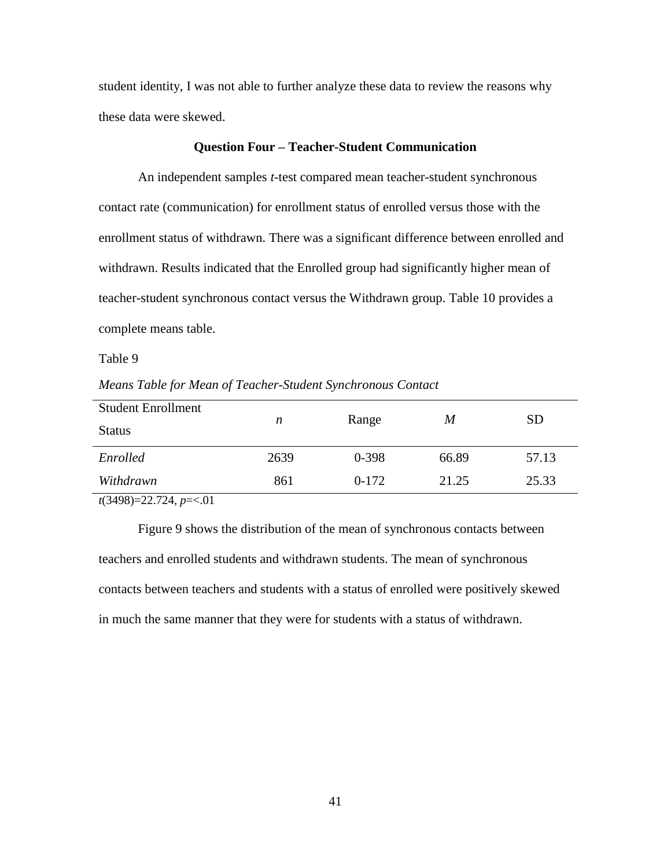student identity, I was not able to further analyze these data to review the reasons why these data were skewed.

# **Question Four – Teacher-Student Communication**

An independent samples *t*-test compared mean teacher-student synchronous contact rate (communication) for enrollment status of enrolled versus those with the enrollment status of withdrawn. There was a significant difference between enrolled and withdrawn. Results indicated that the Enrolled group had significantly higher mean of teacher-student synchronous contact versus the Withdrawn group. Table 10 provides a complete means table.

Table 9

*Means Table for Mean of Teacher-Student Synchronous Contact*

| <b>Student Enrollment</b> | n    | Range     | M     | <b>SD</b> |
|---------------------------|------|-----------|-------|-----------|
| <b>Status</b>             |      |           |       |           |
| Enrolled                  | 2639 | $0 - 398$ | 66.89 | 57.13     |
| Withdrawn                 | 861  | $0-172$   | 21.25 | 25.33     |
| $(2400)$ 224 $\approx$ 01 |      |           |       |           |

*t*(3498)=22.724, *p*=<.01

Figure 9 shows the distribution of the mean of synchronous contacts between teachers and enrolled students and withdrawn students. The mean of synchronous contacts between teachers and students with a status of enrolled were positively skewed in much the same manner that they were for students with a status of withdrawn.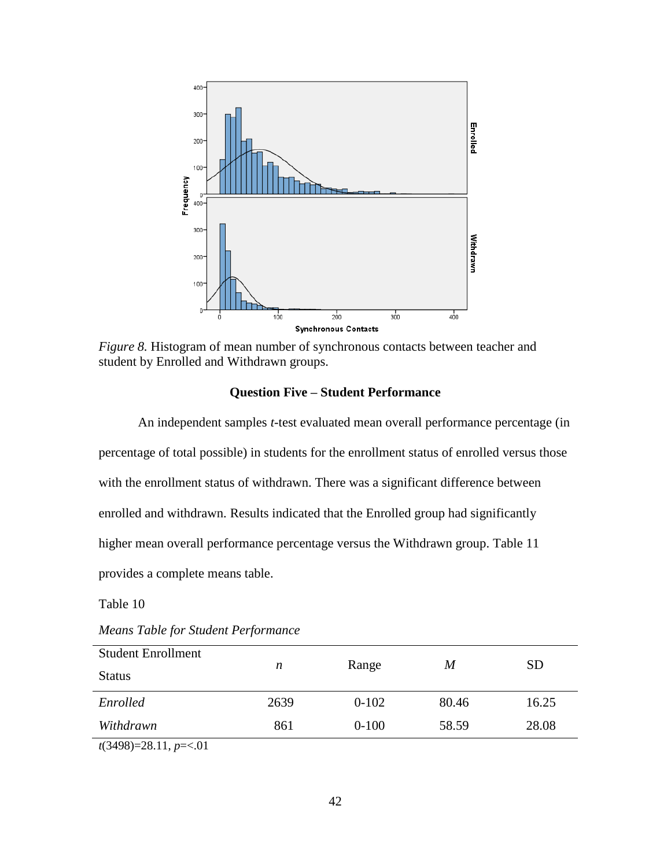

*Figure 8.* Histogram of mean number of synchronous contacts between teacher and student by Enrolled and Withdrawn groups.

# **Question Five – Student Performance**

An independent samples *t*-test evaluated mean overall performance percentage (in percentage of total possible) in students for the enrollment status of enrolled versus those with the enrollment status of withdrawn. There was a significant difference between enrolled and withdrawn. Results indicated that the Enrolled group had significantly higher mean overall performance percentage versus the Withdrawn group. Table 11 provides a complete means table.

Table 10

| <b>Student Enrollment</b>  |      |           |       | <b>SD</b> |
|----------------------------|------|-----------|-------|-----------|
| <b>Status</b>              | n    | Range     | M     |           |
| Enrolled                   | 2639 | $0 - 102$ | 80.46 | 16.25     |
| Withdrawn                  | 861  | $0 - 100$ | 58.59 | 28.08     |
| $(2400)$ - 20 11 $m = 201$ |      |           |       |           |

*Means Table for Student Performance*

*t*(3498)=28.11, *p*=<.01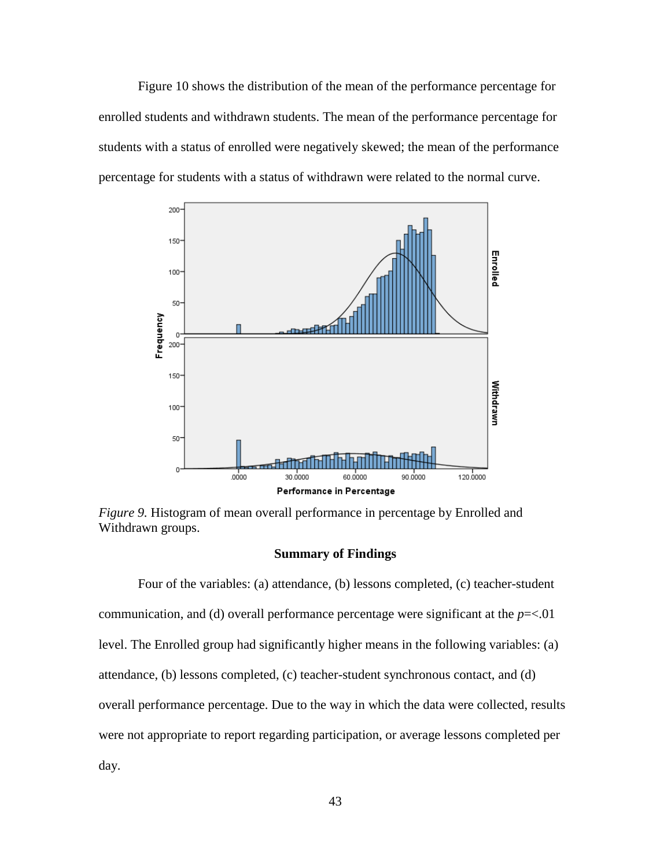Figure 10 shows the distribution of the mean of the performance percentage for enrolled students and withdrawn students. The mean of the performance percentage for students with a status of enrolled were negatively skewed; the mean of the performance percentage for students with a status of withdrawn were related to the normal curve.



*Figure 9.* Histogram of mean overall performance in percentage by Enrolled and Withdrawn groups.

# **Summary of Findings**

Four of the variables: (a) attendance, (b) lessons completed, (c) teacher-student communication, and (d) overall performance percentage were significant at the *p*=<.01 level. The Enrolled group had significantly higher means in the following variables: (a) attendance, (b) lessons completed, (c) teacher-student synchronous contact, and (d) overall performance percentage. Due to the way in which the data were collected, results were not appropriate to report regarding participation, or average lessons completed per day.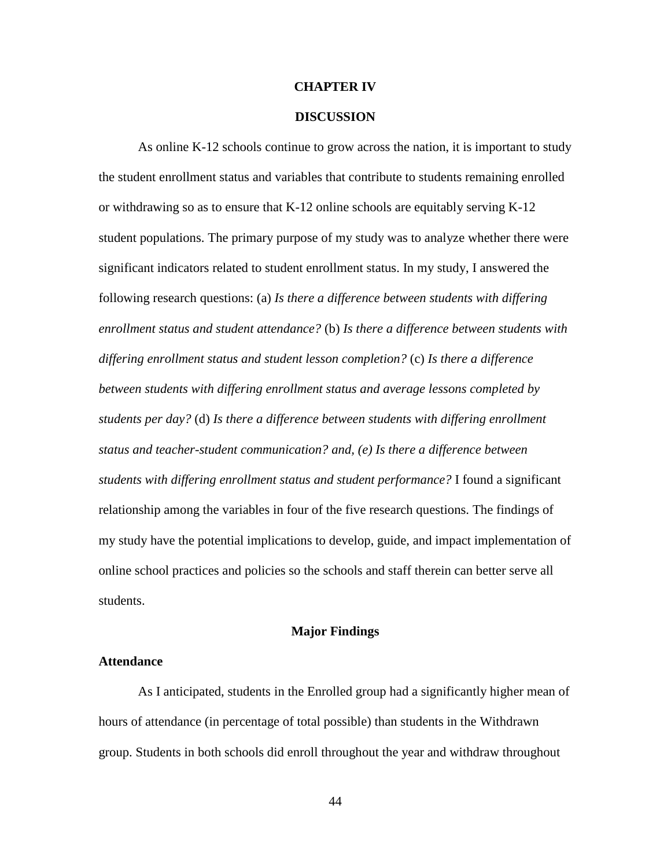#### **CHAPTER IV**

## **DISCUSSION**

As online K-12 schools continue to grow across the nation, it is important to study the student enrollment status and variables that contribute to students remaining enrolled or withdrawing so as to ensure that K-12 online schools are equitably serving K-12 student populations. The primary purpose of my study was to analyze whether there were significant indicators related to student enrollment status. In my study, I answered the following research questions: (a) *Is there a difference between students with differing enrollment status and student attendance?* (b) *Is there a difference between students with differing enrollment status and student lesson completion?* (c) *Is there a difference between students with differing enrollment status and average lessons completed by students per day?* (d) *Is there a difference between students with differing enrollment status and teacher-student communication? and, (e) Is there a difference between students with differing enrollment status and student performance?* I found a significant relationship among the variables in four of the five research questions. The findings of my study have the potential implications to develop, guide, and impact implementation of online school practices and policies so the schools and staff therein can better serve all students.

#### **Major Findings**

# **Attendance**

As I anticipated, students in the Enrolled group had a significantly higher mean of hours of attendance (in percentage of total possible) than students in the Withdrawn group. Students in both schools did enroll throughout the year and withdraw throughout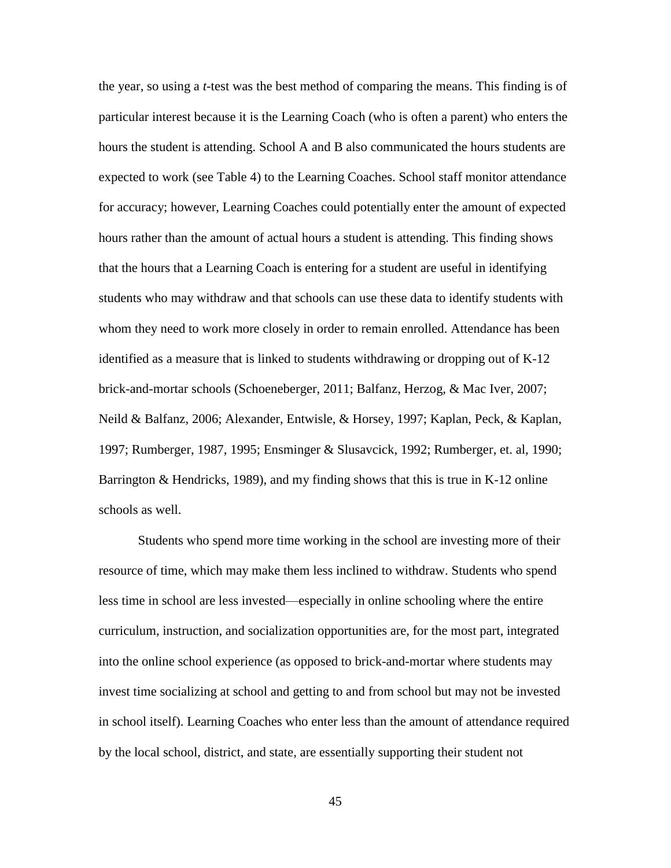the year, so using a *t*-test was the best method of comparing the means. This finding is of particular interest because it is the Learning Coach (who is often a parent) who enters the hours the student is attending. School A and B also communicated the hours students are expected to work (see Table 4) to the Learning Coaches. School staff monitor attendance for accuracy; however, Learning Coaches could potentially enter the amount of expected hours rather than the amount of actual hours a student is attending. This finding shows that the hours that a Learning Coach is entering for a student are useful in identifying students who may withdraw and that schools can use these data to identify students with whom they need to work more closely in order to remain enrolled. Attendance has been identified as a measure that is linked to students withdrawing or dropping out of K-12 brick-and-mortar schools (Schoeneberger, 2011; Balfanz, Herzog, & Mac Iver, 2007; Neild & Balfanz, 2006; Alexander, Entwisle, & Horsey, 1997; Kaplan, Peck, & Kaplan, 1997; Rumberger, 1987, 1995; Ensminger & Slusavcick, 1992; Rumberger, et. al, 1990; Barrington & Hendricks, 1989), and my finding shows that this is true in K-12 online schools as well.

Students who spend more time working in the school are investing more of their resource of time, which may make them less inclined to withdraw. Students who spend less time in school are less invested—especially in online schooling where the entire curriculum, instruction, and socialization opportunities are, for the most part, integrated into the online school experience (as opposed to brick-and-mortar where students may invest time socializing at school and getting to and from school but may not be invested in school itself). Learning Coaches who enter less than the amount of attendance required by the local school, district, and state, are essentially supporting their student not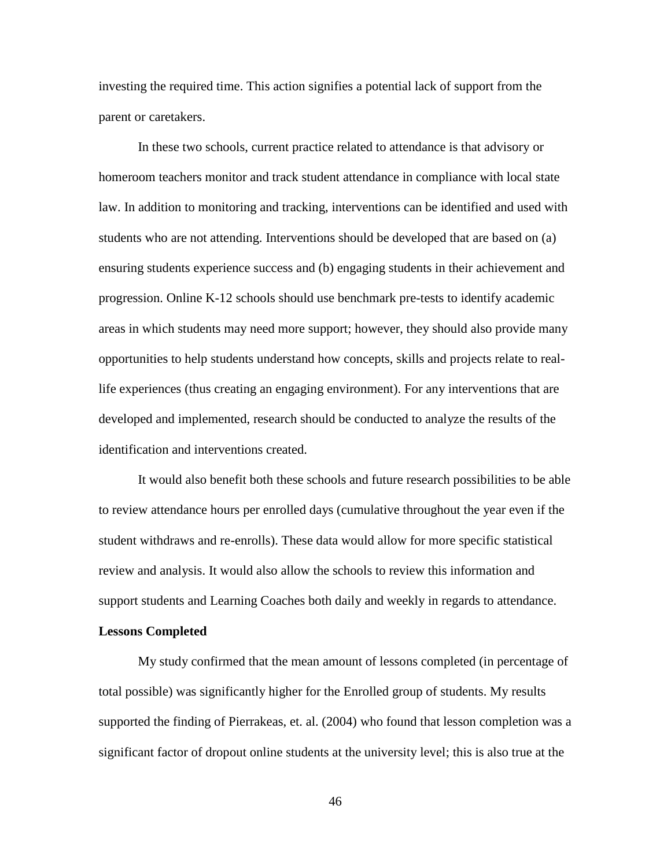investing the required time. This action signifies a potential lack of support from the parent or caretakers.

In these two schools, current practice related to attendance is that advisory or homeroom teachers monitor and track student attendance in compliance with local state law. In addition to monitoring and tracking, interventions can be identified and used with students who are not attending. Interventions should be developed that are based on (a) ensuring students experience success and (b) engaging students in their achievement and progression. Online K-12 schools should use benchmark pre-tests to identify academic areas in which students may need more support; however, they should also provide many opportunities to help students understand how concepts, skills and projects relate to reallife experiences (thus creating an engaging environment). For any interventions that are developed and implemented, research should be conducted to analyze the results of the identification and interventions created.

It would also benefit both these schools and future research possibilities to be able to review attendance hours per enrolled days (cumulative throughout the year even if the student withdraws and re-enrolls). These data would allow for more specific statistical review and analysis. It would also allow the schools to review this information and support students and Learning Coaches both daily and weekly in regards to attendance.

# **Lessons Completed**

My study confirmed that the mean amount of lessons completed (in percentage of total possible) was significantly higher for the Enrolled group of students. My results supported the finding of Pierrakeas, et. al. (2004) who found that lesson completion was a significant factor of dropout online students at the university level; this is also true at the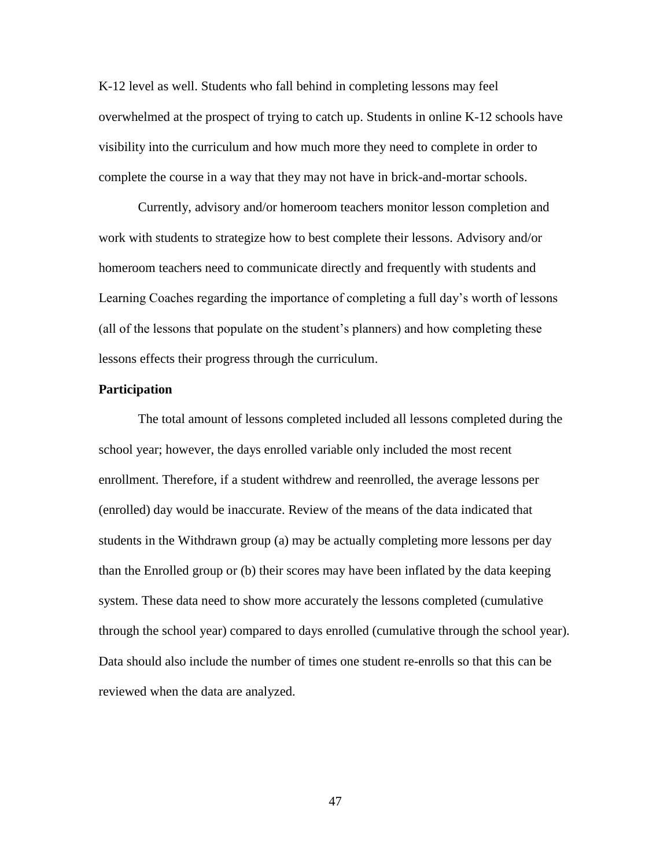K-12 level as well. Students who fall behind in completing lessons may feel overwhelmed at the prospect of trying to catch up. Students in online K-12 schools have visibility into the curriculum and how much more they need to complete in order to complete the course in a way that they may not have in brick-and-mortar schools.

Currently, advisory and/or homeroom teachers monitor lesson completion and work with students to strategize how to best complete their lessons. Advisory and/or homeroom teachers need to communicate directly and frequently with students and Learning Coaches regarding the importance of completing a full day's worth of lessons (all of the lessons that populate on the student's planners) and how completing these lessons effects their progress through the curriculum.

# **Participation**

The total amount of lessons completed included all lessons completed during the school year; however, the days enrolled variable only included the most recent enrollment. Therefore, if a student withdrew and reenrolled, the average lessons per (enrolled) day would be inaccurate. Review of the means of the data indicated that students in the Withdrawn group (a) may be actually completing more lessons per day than the Enrolled group or (b) their scores may have been inflated by the data keeping system. These data need to show more accurately the lessons completed (cumulative through the school year) compared to days enrolled (cumulative through the school year). Data should also include the number of times one student re-enrolls so that this can be reviewed when the data are analyzed.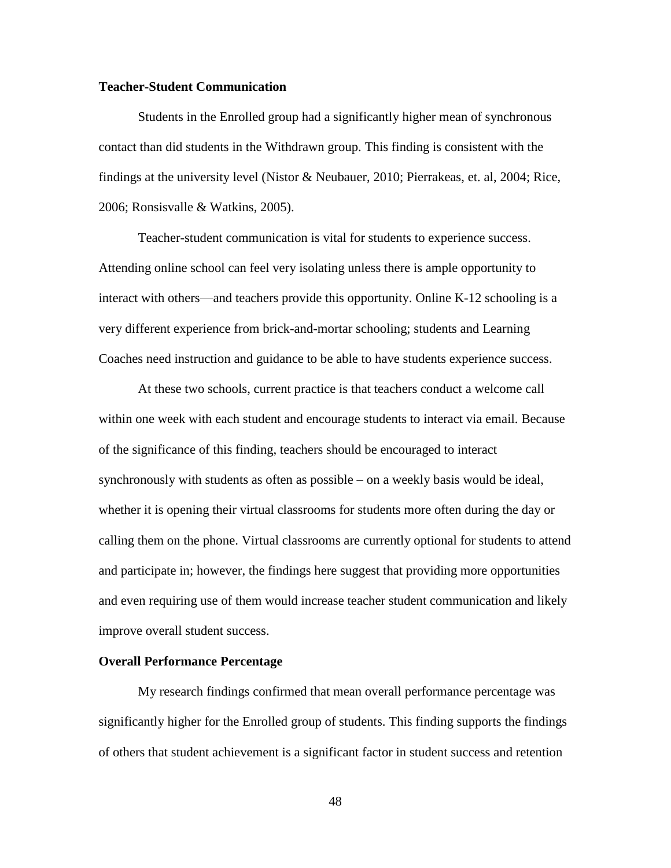# **Teacher-Student Communication**

Students in the Enrolled group had a significantly higher mean of synchronous contact than did students in the Withdrawn group. This finding is consistent with the findings at the university level (Nistor & Neubauer, 2010; Pierrakeas, et. al, 2004; Rice, 2006; Ronsisvalle & Watkins, 2005).

Teacher-student communication is vital for students to experience success. Attending online school can feel very isolating unless there is ample opportunity to interact with others—and teachers provide this opportunity. Online K-12 schooling is a very different experience from brick-and-mortar schooling; students and Learning Coaches need instruction and guidance to be able to have students experience success.

At these two schools, current practice is that teachers conduct a welcome call within one week with each student and encourage students to interact via email. Because of the significance of this finding, teachers should be encouraged to interact synchronously with students as often as possible – on a weekly basis would be ideal, whether it is opening their virtual classrooms for students more often during the day or calling them on the phone. Virtual classrooms are currently optional for students to attend and participate in; however, the findings here suggest that providing more opportunities and even requiring use of them would increase teacher student communication and likely improve overall student success.

#### **Overall Performance Percentage**

My research findings confirmed that mean overall performance percentage was significantly higher for the Enrolled group of students. This finding supports the findings of others that student achievement is a significant factor in student success and retention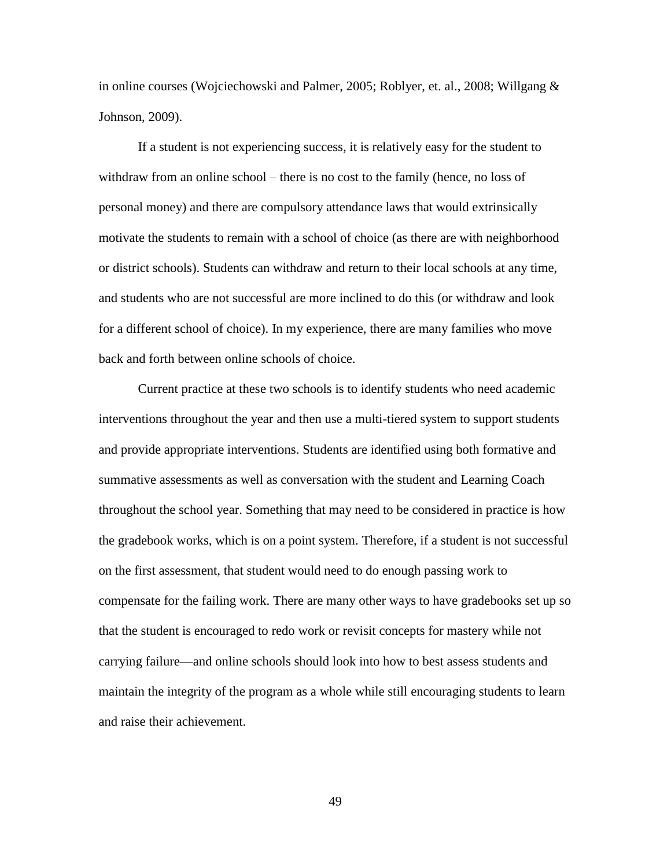in online courses (Wojciechowski and Palmer, 2005; Roblyer, et. al., 2008; Willgang & Johnson, 2009).

If a student is not experiencing success, it is relatively easy for the student to withdraw from an online school – there is no cost to the family (hence, no loss of personal money) and there are compulsory attendance laws that would extrinsically motivate the students to remain with a school of choice (as there are with neighborhood or district schools). Students can withdraw and return to their local schools at any time, and students who are not successful are more inclined to do this (or withdraw and look for a different school of choice). In my experience, there are many families who move back and forth between online schools of choice.

Current practice at these two schools is to identify students who need academic interventions throughout the year and then use a multi-tiered system to support students and provide appropriate interventions. Students are identified using both formative and summative assessments as well as conversation with the student and Learning Coach throughout the school year. Something that may need to be considered in practice is how the gradebook works, which is on a point system. Therefore, if a student is not successful on the first assessment, that student would need to do enough passing work to compensate for the failing work. There are many other ways to have gradebooks set up so that the student is encouraged to redo work or revisit concepts for mastery while not carrying failure—and online schools should look into how to best assess students and maintain the integrity of the program as a whole while still encouraging students to learn and raise their achievement.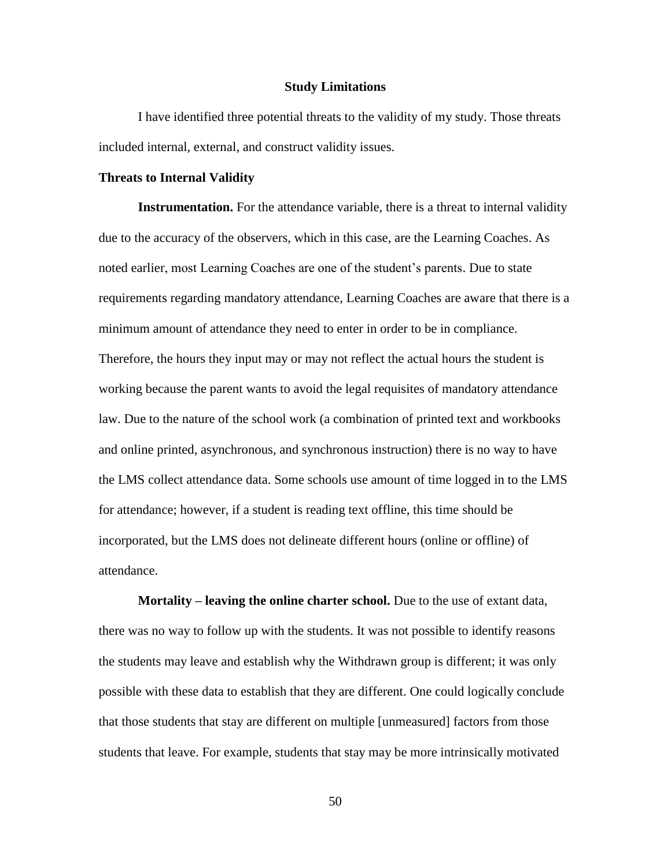#### **Study Limitations**

I have identified three potential threats to the validity of my study. Those threats included internal, external, and construct validity issues.

## **Threats to Internal Validity**

**Instrumentation.** For the attendance variable, there is a threat to internal validity due to the accuracy of the observers, which in this case, are the Learning Coaches. As noted earlier, most Learning Coaches are one of the student's parents. Due to state requirements regarding mandatory attendance, Learning Coaches are aware that there is a minimum amount of attendance they need to enter in order to be in compliance. Therefore, the hours they input may or may not reflect the actual hours the student is working because the parent wants to avoid the legal requisites of mandatory attendance law. Due to the nature of the school work (a combination of printed text and workbooks and online printed, asynchronous, and synchronous instruction) there is no way to have the LMS collect attendance data. Some schools use amount of time logged in to the LMS for attendance; however, if a student is reading text offline, this time should be incorporated, but the LMS does not delineate different hours (online or offline) of attendance.

**Mortality – leaving the online charter school.** Due to the use of extant data, there was no way to follow up with the students. It was not possible to identify reasons the students may leave and establish why the Withdrawn group is different; it was only possible with these data to establish that they are different. One could logically conclude that those students that stay are different on multiple [unmeasured] factors from those students that leave. For example, students that stay may be more intrinsically motivated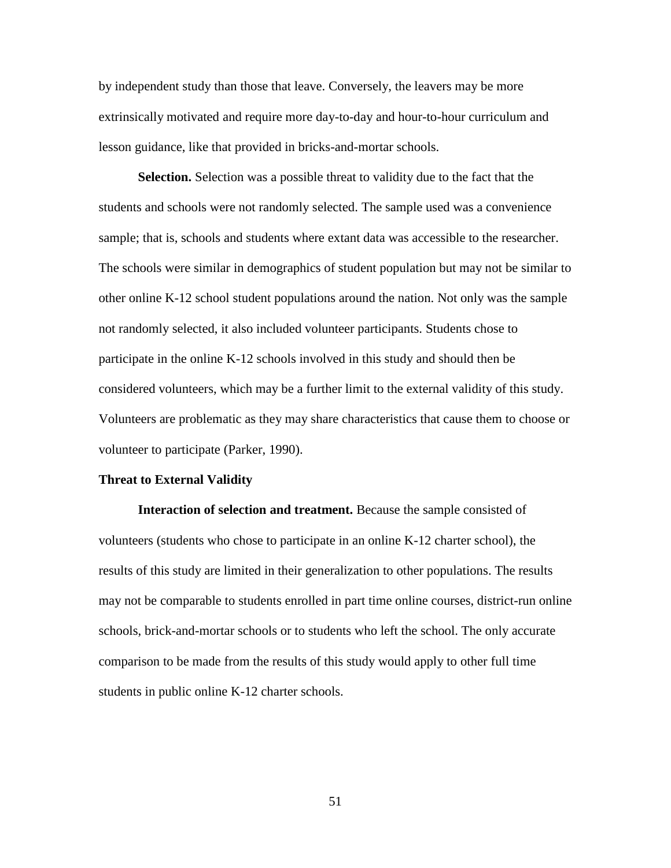by independent study than those that leave. Conversely, the leavers may be more extrinsically motivated and require more day-to-day and hour-to-hour curriculum and lesson guidance, like that provided in bricks-and-mortar schools.

**Selection.** Selection was a possible threat to validity due to the fact that the students and schools were not randomly selected. The sample used was a convenience sample; that is, schools and students where extant data was accessible to the researcher. The schools were similar in demographics of student population but may not be similar to other online K-12 school student populations around the nation. Not only was the sample not randomly selected, it also included volunteer participants. Students chose to participate in the online K-12 schools involved in this study and should then be considered volunteers, which may be a further limit to the external validity of this study. Volunteers are problematic as they may share characteristics that cause them to choose or volunteer to participate (Parker, 1990).

#### **Threat to External Validity**

**Interaction of selection and treatment.** Because the sample consisted of volunteers (students who chose to participate in an online K-12 charter school), the results of this study are limited in their generalization to other populations. The results may not be comparable to students enrolled in part time online courses, district-run online schools, brick-and-mortar schools or to students who left the school. The only accurate comparison to be made from the results of this study would apply to other full time students in public online K-12 charter schools.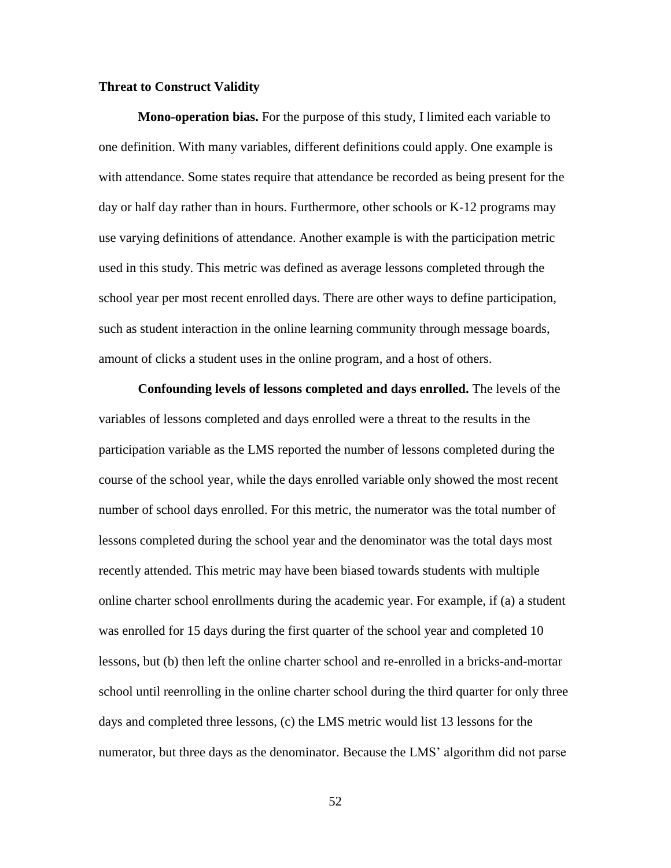# **Threat to Construct Validity**

**Mono-operation bias.** For the purpose of this study, I limited each variable to one definition. With many variables, different definitions could apply. One example is with attendance. Some states require that attendance be recorded as being present for the day or half day rather than in hours. Furthermore, other schools or K-12 programs may use varying definitions of attendance. Another example is with the participation metric used in this study. This metric was defined as average lessons completed through the school year per most recent enrolled days. There are other ways to define participation, such as student interaction in the online learning community through message boards, amount of clicks a student uses in the online program, and a host of others.

**Confounding levels of lessons completed and days enrolled.** The levels of the variables of lessons completed and days enrolled were a threat to the results in the participation variable as the LMS reported the number of lessons completed during the course of the school year, while the days enrolled variable only showed the most recent number of school days enrolled. For this metric, the numerator was the total number of lessons completed during the school year and the denominator was the total days most recently attended. This metric may have been biased towards students with multiple online charter school enrollments during the academic year. For example, if (a) a student was enrolled for 15 days during the first quarter of the school year and completed 10 lessons, but (b) then left the online charter school and re-enrolled in a bricks-and-mortar school until reenrolling in the online charter school during the third quarter for only three days and completed three lessons, (c) the LMS metric would list 13 lessons for the numerator, but three days as the denominator. Because the LMS' algorithm did not parse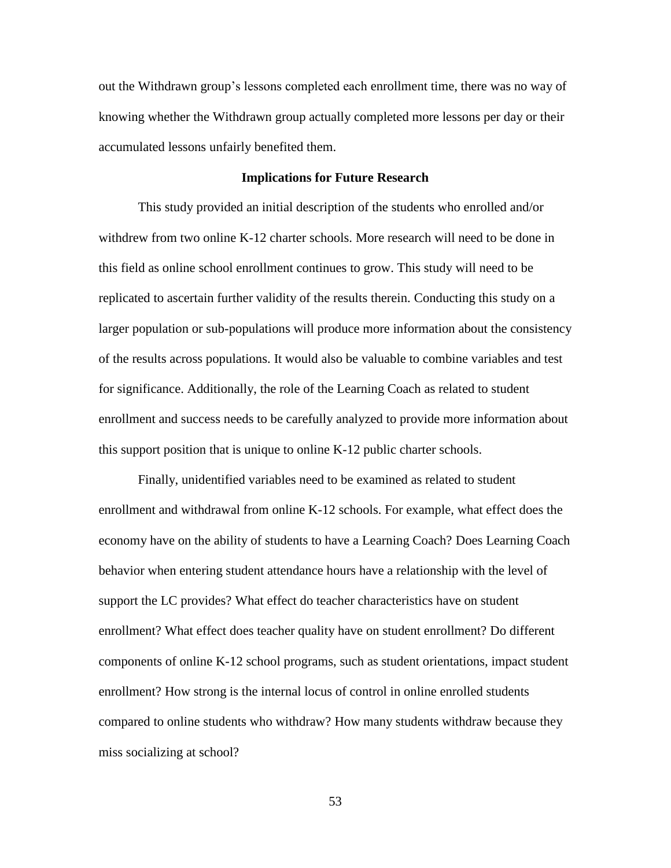out the Withdrawn group's lessons completed each enrollment time, there was no way of knowing whether the Withdrawn group actually completed more lessons per day or their accumulated lessons unfairly benefited them.

# **Implications for Future Research**

This study provided an initial description of the students who enrolled and/or withdrew from two online K-12 charter schools. More research will need to be done in this field as online school enrollment continues to grow. This study will need to be replicated to ascertain further validity of the results therein. Conducting this study on a larger population or sub-populations will produce more information about the consistency of the results across populations. It would also be valuable to combine variables and test for significance. Additionally, the role of the Learning Coach as related to student enrollment and success needs to be carefully analyzed to provide more information about this support position that is unique to online K-12 public charter schools.

Finally, unidentified variables need to be examined as related to student enrollment and withdrawal from online K-12 schools. For example, what effect does the economy have on the ability of students to have a Learning Coach? Does Learning Coach behavior when entering student attendance hours have a relationship with the level of support the LC provides? What effect do teacher characteristics have on student enrollment? What effect does teacher quality have on student enrollment? Do different components of online K-12 school programs, such as student orientations, impact student enrollment? How strong is the internal locus of control in online enrolled students compared to online students who withdraw? How many students withdraw because they miss socializing at school?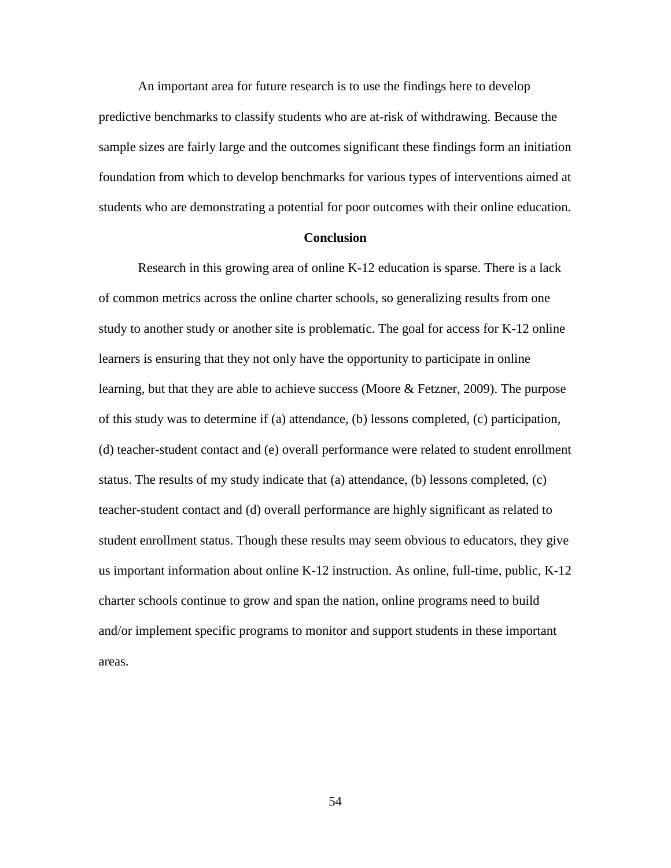An important area for future research is to use the findings here to develop predictive benchmarks to classify students who are at-risk of withdrawing. Because the sample sizes are fairly large and the outcomes significant these findings form an initiation foundation from which to develop benchmarks for various types of interventions aimed at students who are demonstrating a potential for poor outcomes with their online education.

### **Conclusion**

Research in this growing area of online K-12 education is sparse. There is a lack of common metrics across the online charter schools, so generalizing results from one study to another study or another site is problematic. The goal for access for K-12 online learners is ensuring that they not only have the opportunity to participate in online learning, but that they are able to achieve success (Moore & Fetzner, 2009). The purpose of this study was to determine if (a) attendance, (b) lessons completed, (c) participation, (d) teacher-student contact and (e) overall performance were related to student enrollment status. The results of my study indicate that (a) attendance, (b) lessons completed,  $(c)$ teacher-student contact and (d) overall performance are highly significant as related to student enrollment status. Though these results may seem obvious to educators, they give us important information about online K-12 instruction. As online, full-time, public, K-12 charter schools continue to grow and span the nation, online programs need to build and/or implement specific programs to monitor and support students in these important areas.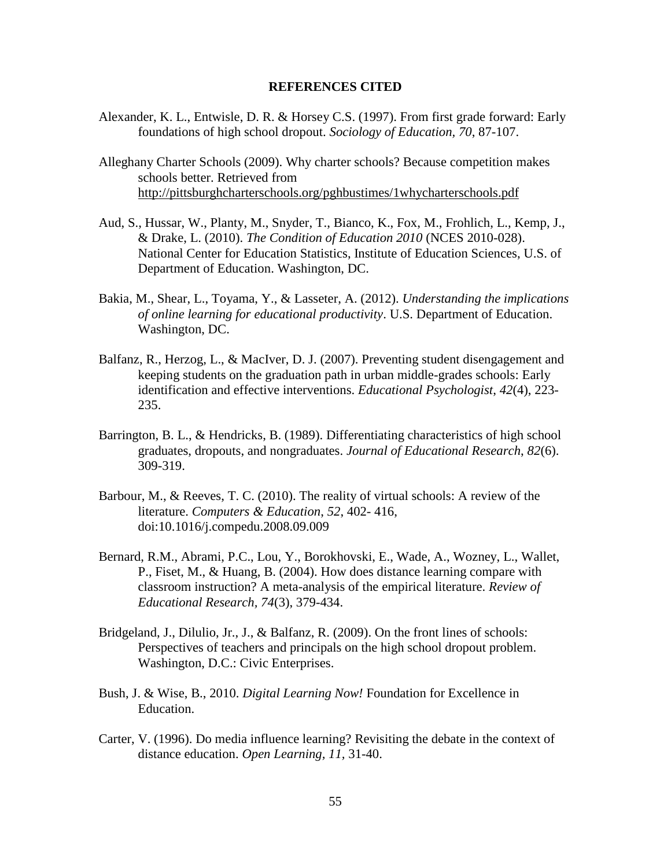#### **REFERENCES CITED**

- Alexander, K. L., Entwisle, D. R. & Horsey C.S. (1997). From first grade forward: Early foundations of high school dropout. *Sociology of Education, 70*, 87-107.
- Alleghany Charter Schools (2009). Why charter schools? Because competition makes schools better. Retrieved from <http://pittsburghcharterschools.org/pghbustimes/1whycharterschools.pdf>
- Aud, S., Hussar, W., Planty, M., Snyder, T., Bianco, K., Fox, M., Frohlich, L., Kemp, J., & Drake, L. (2010). *The Condition of Education 2010* (NCES 2010-028). National Center for Education Statistics, Institute of Education Sciences, U.S. of Department of Education. Washington, DC.
- Bakia, M., Shear, L., Toyama, Y., & Lasseter, A. (2012). *Understanding the implications of online learning for educational productivity*. U.S. Department of Education. Washington, DC.
- Balfanz, R., Herzog, L., & MacIver, D. J. (2007). Preventing student disengagement and keeping students on the graduation path in urban middle-grades schools: Early identification and effective interventions. *Educational Psychologist*, *42*(4), 223- 235.
- Barrington, B. L., & Hendricks, B. (1989). Differentiating characteristics of high school graduates, dropouts, and nongraduates. *Journal of Educational Research*, *82*(6). 309-319.
- Barbour, M., & Reeves, T. C. (2010). The reality of virtual schools: A review of the literature. *Computers & Education*, *52*, 402- 416, doi:10.1016/j.compedu.2008.09.009
- Bernard, R.M., Abrami, P.C., Lou, Y., Borokhovski, E., Wade, A., Wozney, L., Wallet, P., Fiset, M., & Huang, B. (2004). How does distance learning compare with classroom instruction? A meta-analysis of the empirical literature. *Review of Educational Research, 74*(3), 379-434.
- Bridgeland, J., Dilulio, Jr., J., & Balfanz, R. (2009). On the front lines of schools: Perspectives of teachers and principals on the high school dropout problem. Washington, D.C.: Civic Enterprises.
- Bush, J. & Wise, B., 2010. *Digital Learning Now!* Foundation for Excellence in Education.
- Carter, V. (1996). Do media influence learning? Revisiting the debate in the context of distance education. *Open Learning, 11,* 31-40.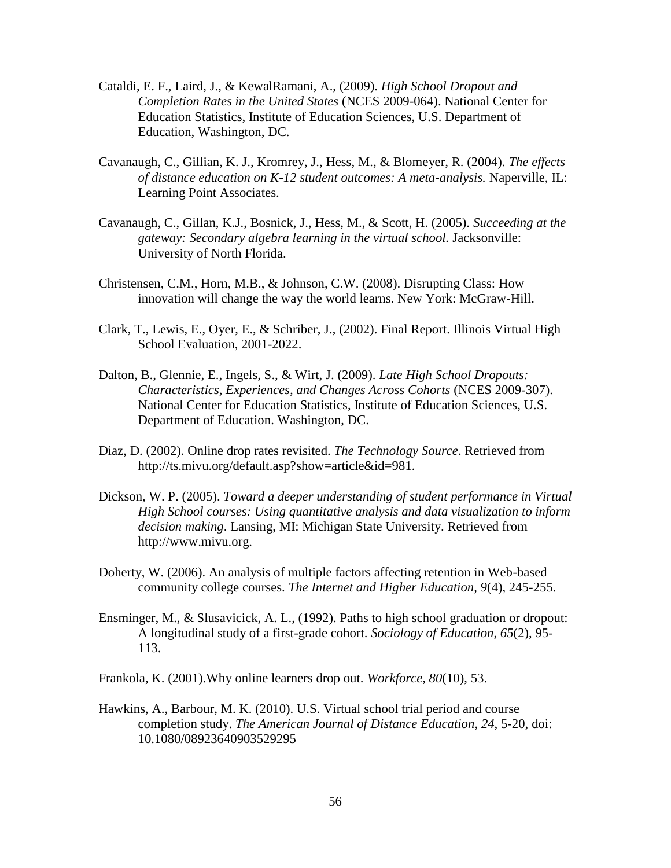- Cataldi, E. F., Laird, J., & KewalRamani, A., (2009). *High School Dropout and Completion Rates in the United States* (NCES 2009-064). National Center for Education Statistics, Institute of Education Sciences, U.S. Department of Education, Washington, DC.
- Cavanaugh, C., Gillian, K. J., Kromrey, J., Hess, M., & Blomeyer, R. (2004). *The effects of distance education on K-12 student outcomes: A meta-analysis.* Naperville, IL: Learning Point Associates.
- Cavanaugh, C., Gillan, K.J., Bosnick, J., Hess, M., & Scott, H. (2005). *Succeeding at the gateway: Secondary algebra learning in the virtual school.* Jacksonville: University of North Florida.
- Christensen, C.M., Horn, M.B., & Johnson, C.W. (2008). Disrupting Class: How innovation will change the way the world learns. New York: McGraw-Hill.
- Clark, T., Lewis, E., Oyer, E., & Schriber, J., (2002). Final Report. Illinois Virtual High School Evaluation, 2001-2022.
- Dalton, B., Glennie, E., Ingels, S., & Wirt, J. (2009). *Late High School Dropouts: Characteristics, Experiences, and Changes Across Cohorts* (NCES 2009-307). National Center for Education Statistics, Institute of Education Sciences, U.S. Department of Education. Washington, DC.
- Diaz, D. (2002). Online drop rates revisited. *The Technology Source*. Retrieved from [http://ts.mivu.org/default.asp?show=article&id=981.](http://ts.mivu.org/default.asp?show=article&id=981)
- Dickson, W. P. (2005). *Toward a deeper understanding of student performance in Virtual High School courses: Using quantitative analysis and data visualization to inform decision making*. Lansing, MI: Michigan State University. Retrieved from http://www.mivu.org.
- Doherty, W. (2006). An analysis of multiple factors affecting retention in Web-based community college courses. *The Internet and Higher Education, 9*(4), 245-255.
- Ensminger, M., & Slusavicick, A. L., (1992). Paths to high school graduation or dropout: A longitudinal study of a first-grade cohort. *Sociology of Education*, *65*(2), 95- 113.
- Frankola, K. (2001).Why online learners drop out. *Workforce, 80*(10), 53.
- Hawkins, A., Barbour, M. K. (2010). U.S. Virtual school trial period and course completion study. *The American Journal of Distance Education*, *24*, 5-20, doi: 10.1080/08923640903529295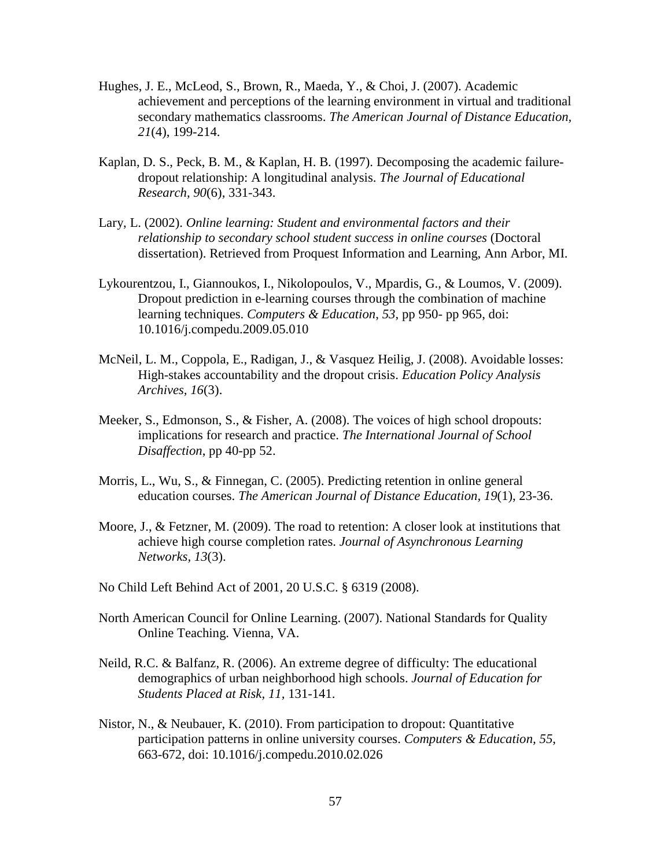- Hughes, J. E., McLeod, S., Brown, R., Maeda, Y., & Choi, J. (2007). Academic achievement and perceptions of the learning environment in virtual and traditional secondary mathematics classrooms. *The American Journal of Distance Education, 21*(4), 199-214.
- Kaplan, D. S., Peck, B. M., & Kaplan, H. B. (1997). Decomposing the academic failuredropout relationship: A longitudinal analysis. *The Journal of Educational Research, 90*(6), 331-343.
- Lary, L. (2002). *Online learning: Student and environmental factors and their relationship to secondary school student success in online courses* (Doctoral dissertation). Retrieved from Proquest Information and Learning, Ann Arbor, MI.
- Lykourentzou, I., Giannoukos, I., Nikolopoulos, V., Mpardis, G., & Loumos, V. (2009). Dropout prediction in e-learning courses through the combination of machine learning techniques. *Computers & Education*, *53*, pp 950- pp 965, doi: 10.1016/j.compedu.2009.05.010
- McNeil, L. M., Coppola, E., Radigan, J., & Vasquez Heilig, J. (2008). Avoidable losses: High-stakes accountability and the dropout crisis. *Education Policy Analysis Archives, 16*(3).
- Meeker, S., Edmonson, S., & Fisher, A. (2008). The voices of high school dropouts: implications for research and practice. *The International Journal of School Disaffection*, pp 40-pp 52.
- Morris, L., Wu, S., & Finnegan, C. (2005). Predicting retention in online general education courses. *The American Journal of Distance Education, 19*(1), 23-36.
- Moore, J., & Fetzner, M. (2009). The road to retention: A closer look at institutions that achieve high course completion rates. *Journal of Asynchronous Learning Networks, 13*(3).
- No Child Left Behind Act of 2001, 20 U.S.C. § 6319 (2008).
- North American Council for Online Learning. (2007). National Standards for Quality Online Teaching. Vienna, VA.
- Neild, R.C. & Balfanz, R. (2006). An extreme degree of difficulty: The educational demographics of urban neighborhood high schools. *Journal of Education for Students Placed at Risk, 11,* 131-141.
- Nistor, N., & Neubauer, K. (2010). From participation to dropout: Quantitative participation patterns in online university courses. *Computers & Education, 55*, 663-672, doi: 10.1016/j.compedu.2010.02.026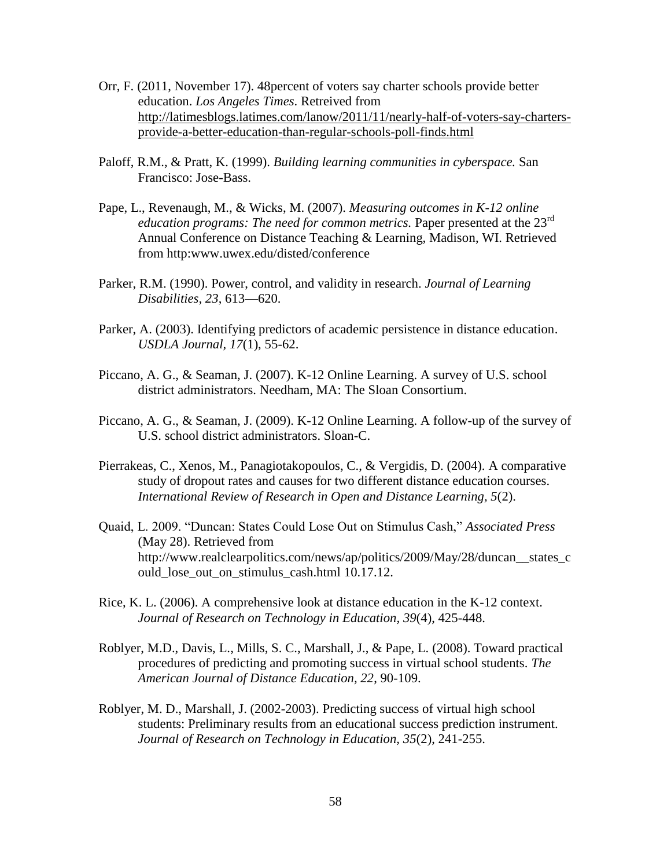- Orr, F. (2011, November 17). 48percent of voters say charter schools provide better education. *Los Angeles Times*. Retreived from [http://latimesblogs.latimes.com/lanow/2011/11/nearly-half-of-voters-say-charters](http://latimesblogs.latimes.com/lanow/2011/11/nearly-half-of-voters-say-charters-provide-a-better-education-than-regular-schools-poll-finds.html)[provide-a-better-education-than-regular-schools-poll-finds.html](http://latimesblogs.latimes.com/lanow/2011/11/nearly-half-of-voters-say-charters-provide-a-better-education-than-regular-schools-poll-finds.html)
- Paloff, R.M., & Pratt, K. (1999). *Building learning communities in cyberspace.* San Francisco: Jose-Bass.
- Pape, L., Revenaugh, M., & Wicks, M. (2007). *Measuring outcomes in K-12 online education programs: The need for common metrics.* Paper presented at the 23<sup>rd</sup> Annual Conference on Distance Teaching & Learning, Madison, WI. Retrieved from http:www.uwex.edu/disted/conference
- Parker, R.M. (1990). Power, control, and validity in research. *Journal of Learning Disabilities, 23*, 613—620.
- Parker, A. (2003). Identifying predictors of academic persistence in distance education. *USDLA Journal, 17*(1), 55-62.
- Piccano, A. G., & Seaman, J. (2007). K-12 Online Learning. A survey of U.S. school district administrators. Needham, MA: The Sloan Consortium.
- Piccano, A. G., & Seaman, J. (2009). K-12 Online Learning. A follow-up of the survey of U.S. school district administrators. Sloan-C.
- Pierrakeas, C., Xenos, M., Panagiotakopoulos, C., & Vergidis, D. (2004). A comparative study of dropout rates and causes for two different distance education courses. *International Review of Research in Open and Distance Learning, 5*(2).
- Quaid, L. 2009. "Duncan: States Could Lose Out on Stimulus Cash," *Associated Press*  (May 28). Retrieved from [http://www.realclearpolitics.com/news/ap/politics/2009/May/28/duncan\\_\\_states\\_c](http://www.realclearpolitics.com/news/ap/politics/2009/May/28/duncan__states_could_lose_out_on_stimulus_cash.html) [ould\\_lose\\_out\\_on\\_stimulus\\_cash.html](http://www.realclearpolitics.com/news/ap/politics/2009/May/28/duncan__states_could_lose_out_on_stimulus_cash.html) 10.17.12.
- Rice, K. L. (2006). A comprehensive look at distance education in the K-12 context. *Journal of Research on Technology in Education, 39*(4), 425-448.
- Roblyer, M.D., Davis, L., Mills, S. C., Marshall, J., & Pape, L. (2008). Toward practical procedures of predicting and promoting success in virtual school students. *The American Journal of Distance Education, 22*, 90-109.
- Roblyer, M. D., Marshall, J. (2002-2003). Predicting success of virtual high school students: Preliminary results from an educational success prediction instrument. *Journal of Research on Technology in Education, 35*(2), 241-255.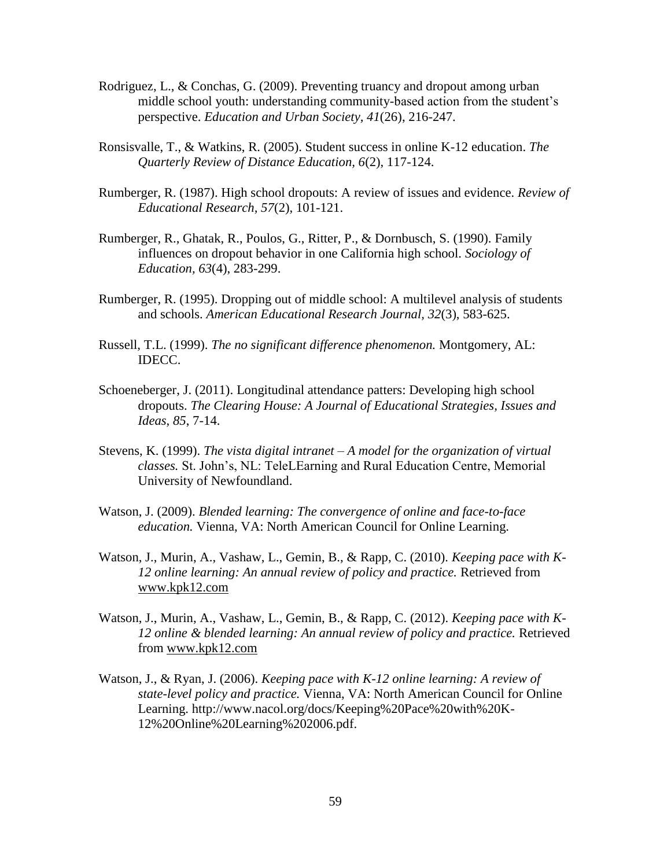- Rodriguez, L., & Conchas, G. (2009). Preventing truancy and dropout among urban middle school youth: understanding community-based action from the student's perspective. *Education and Urban Society, 41*(26), 216-247.
- Ronsisvalle, T., & Watkins, R. (2005). Student success in online K-12 education. *The Quarterly Review of Distance Education, 6*(2), 117-124.
- Rumberger, R. (1987). High school dropouts: A review of issues and evidence. *Review of Educational Research, 57*(2), 101-121.
- Rumberger, R., Ghatak, R., Poulos, G., Ritter, P., & Dornbusch, S. (1990). Family influences on dropout behavior in one California high school. *Sociology of Education, 63*(4), 283-299.
- Rumberger, R. (1995). Dropping out of middle school: A multilevel analysis of students and schools. *American Educational Research Journal, 32*(3), 583-625.
- Russell, T.L. (1999). *The no significant difference phenomenon.* Montgomery, AL: IDECC.
- Schoeneberger, J. (2011). Longitudinal attendance patters: Developing high school dropouts. *The Clearing House: A Journal of Educational Strategies, Issues and Ideas, 85*, 7-14.
- Stevens, K. (1999). *The vista digital intranet – A model for the organization of virtual classes.* St. John's, NL: TeleLEarning and Rural Education Centre, Memorial University of Newfoundland.
- Watson, J. (2009). *Blended learning: The convergence of online and face-to-face education.* Vienna, VA: North American Council for Online Learning.
- Watson, J., Murin, A., Vashaw, L., Gemin, B., & Rapp, C. (2010). *Keeping pace with K-12 online learning: An annual review of policy and practice.* Retrieved from [www.kpk12.com](http://www.kpk12.com/)
- Watson, J., Murin, A., Vashaw, L., Gemin, B., & Rapp, C. (2012). *Keeping pace with K-12 online & blended learning: An annual review of policy and practice.* Retrieved from [www.kpk12.com](http://www.kpk12.com/)
- Watson, J., & Ryan, J. (2006). *Keeping pace with K-12 online learning: A review of state-level policy and practice.* Vienna, VA: North American Council for Online Learning. [http://www.nacol.org/docs/Keeping%20Pace%20with%20K-](http://www.nacol.org/docs/Keeping%20Pace%20with%20K-12%20Online%20Learning%202006.pdf)[12%20Online%20Learning%202006.pdf.](http://www.nacol.org/docs/Keeping%20Pace%20with%20K-12%20Online%20Learning%202006.pdf)